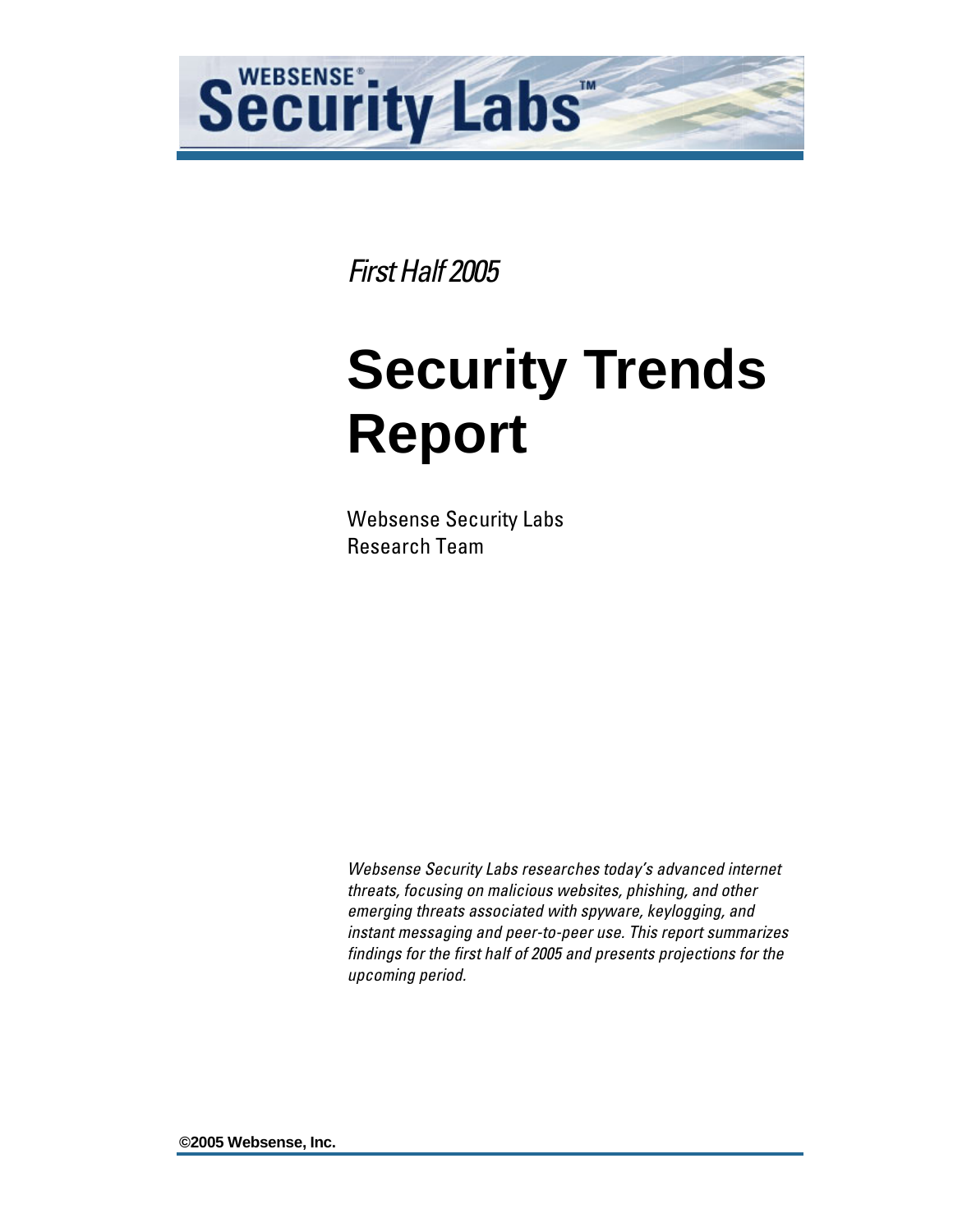

*First Half 2005* 

# **Security Trends Report**

Websense Security Labs Research Team

*Websense Security Labs researches today's advanced internet threats, focusing on malicious websites, phishing, and other emerging threats associated with spyware, keylogging, and instant messaging and peer-to-peer use. This report summarizes findings for the first half of 2005 and presents projections for the upcoming period.* 

**©2005 Websense, Inc.**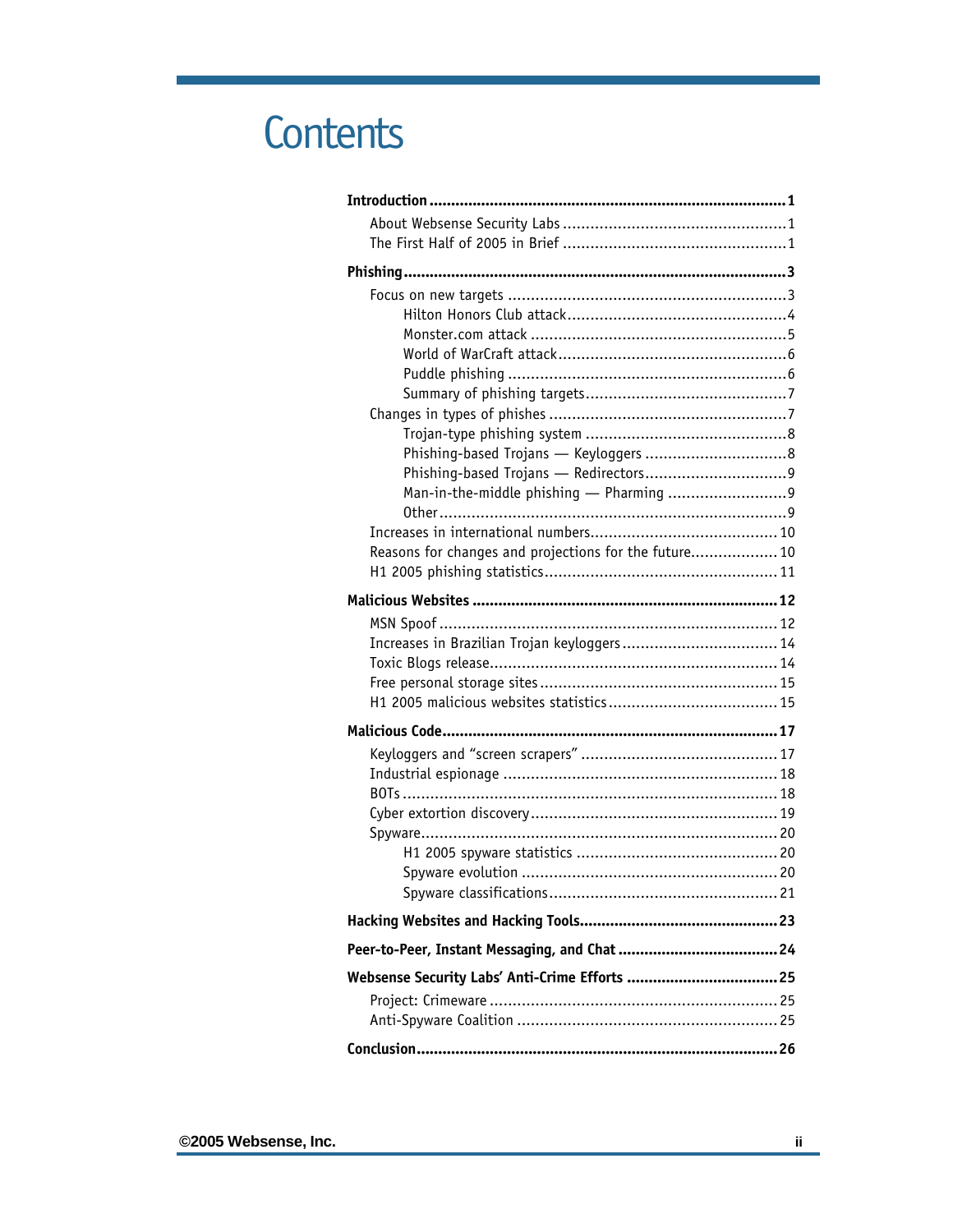## **Contents**

| Reasons for changes and projections for the future 10 |  |
|-------------------------------------------------------|--|
|                                                       |  |
|                                                       |  |
|                                                       |  |
|                                                       |  |
|                                                       |  |
|                                                       |  |
|                                                       |  |
|                                                       |  |
|                                                       |  |
|                                                       |  |
|                                                       |  |
|                                                       |  |
|                                                       |  |
|                                                       |  |
|                                                       |  |
|                                                       |  |
|                                                       |  |
|                                                       |  |
|                                                       |  |
|                                                       |  |
|                                                       |  |
|                                                       |  |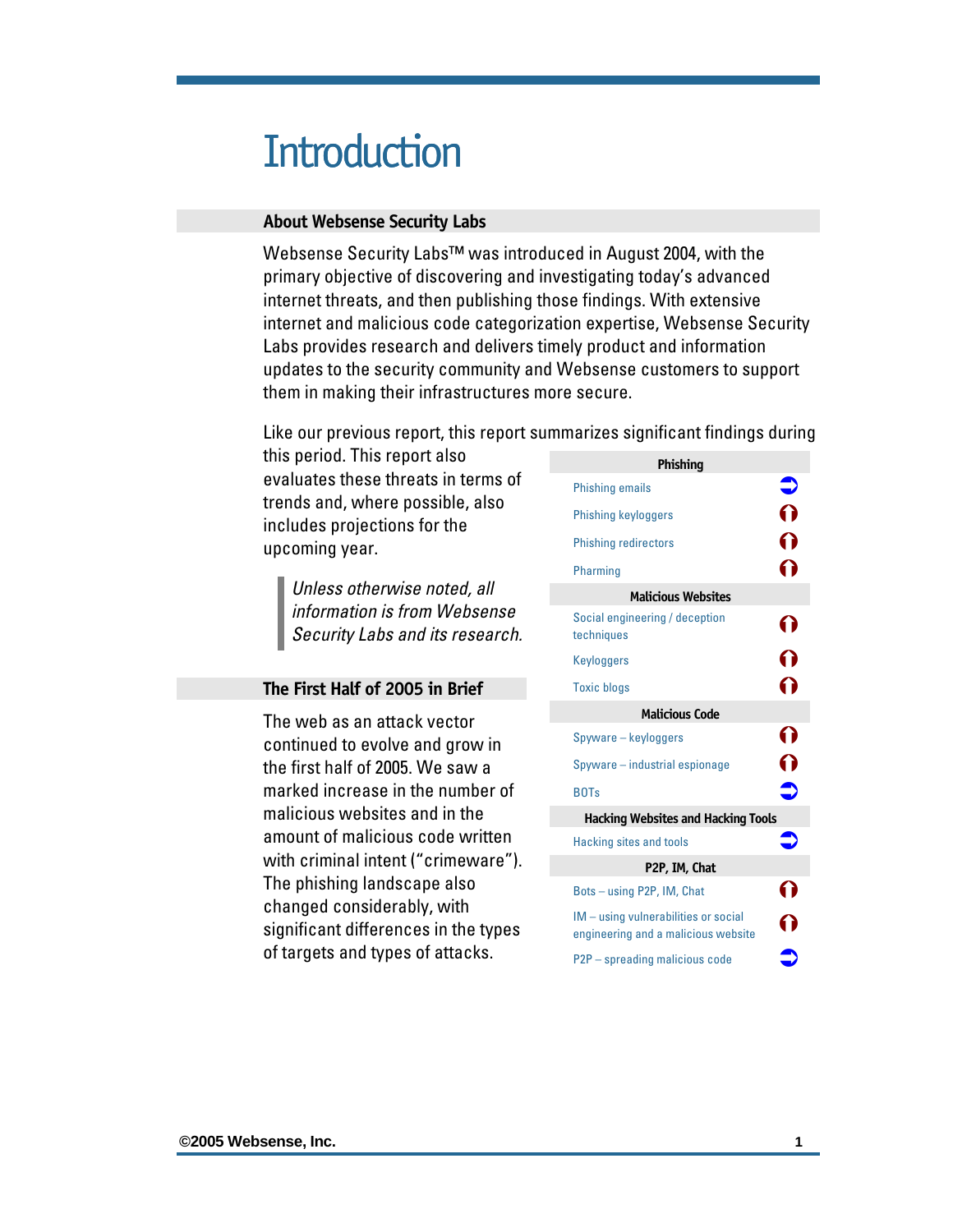### <span id="page-2-0"></span>**Introduction**

#### **About Websense Security Labs**

Websense Security Labs™ was introduced in August 2004, with the primary objective of discovering and investigating today's advanced internet threats, and then publishing those findings. With extensive internet and malicious code categorization expertise, Websense Security Labs provides research and delivers timely product and information updates to the security community and Websense customers to support them in making their infrastructures more secure.

Like our previous report, this report summarizes significant findings during

this period. This report also evaluates these threats in terms of trends and, where possible, also includes projections for the upcoming year.

> *Unless otherwise noted, all information is from Websense Security Labs and its research.*

#### **The First Half of 2005 in Brief**

The web as an attack vector continued to evolve and grow in the first half of 2005. We saw a marked increase in the number of malicious websites and in the amount of malicious code written with criminal intent ("crimeware"). The phishing landscape also changed considerably, with significant differences in the types of targets and types of attacks.

| Phishing                                                                    |           |
|-----------------------------------------------------------------------------|-----------|
| Phishing emails                                                             |           |
| <b>Phishing keyloggers</b>                                                  | 0         |
| <b>Phishing redirectors</b>                                                 | ∩         |
| Pharming                                                                    | 0         |
| <b>Malicious Websites</b>                                                   |           |
| Social engineering / deception<br>techniques                                | 0         |
| Keyloggers                                                                  | ∩         |
| <b>Toxic blogs</b>                                                          | ဂ         |
| <b>Malicious Code</b>                                                       |           |
| Spyware - keyloggers                                                        | 0         |
| Spyware – industrial espionage                                              | 0         |
| <b>BOTs</b>                                                                 | $\bullet$ |
| <b>Hacking Websites and Hacking Tools</b>                                   |           |
| <b>Hacking sites and tools</b>                                              |           |
| P2P, IM, Chat                                                               |           |
| Bots - using P2P, IM, Chat                                                  |           |
| IM - using vulnerabilities or social<br>engineering and a malicious website |           |
| P2P - spreading malicious code                                              |           |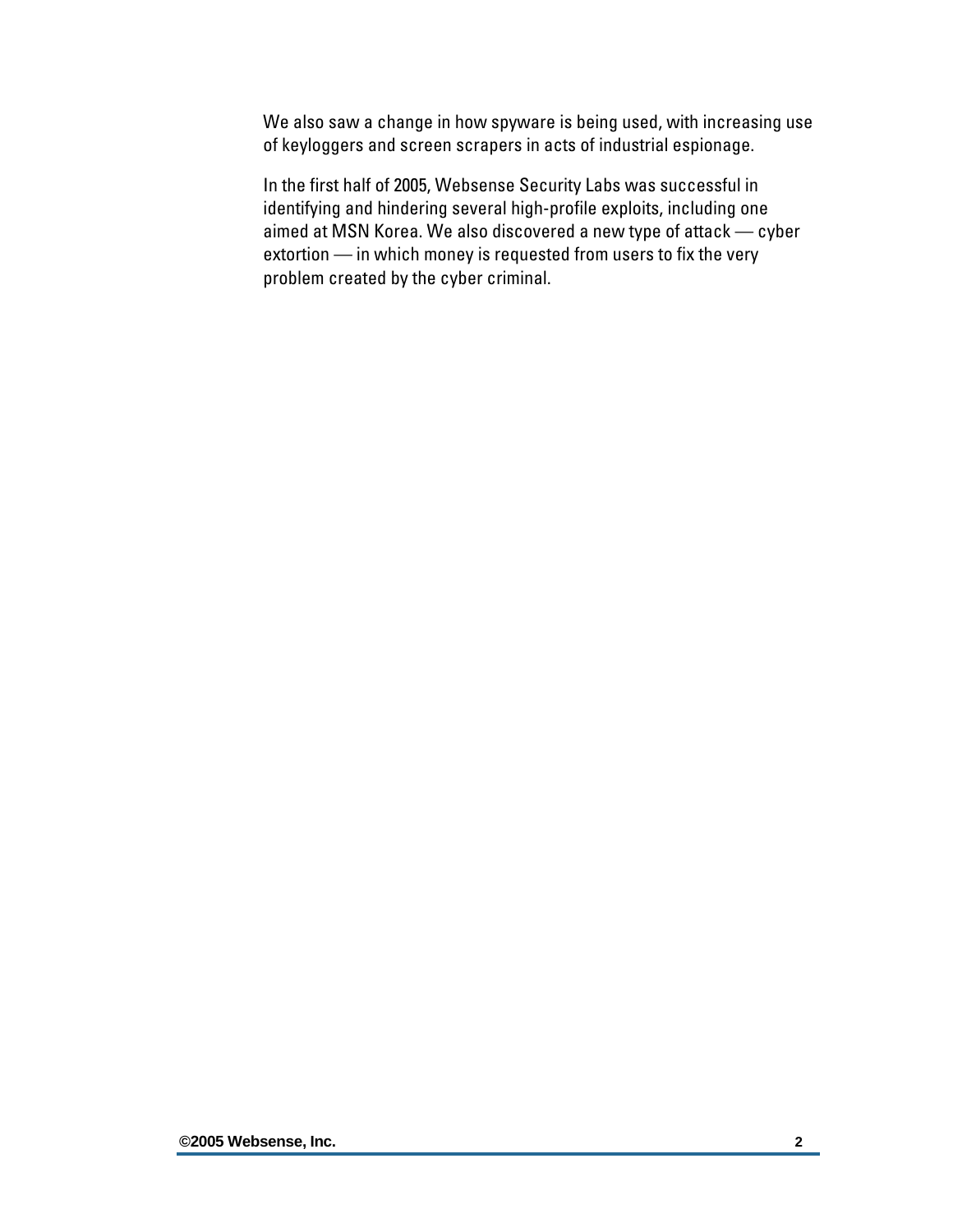We also saw a change in how spyware is being used, with increasing use of keyloggers and screen scrapers in acts of industrial espionage.

In the first half of 2005, Websense Security Labs was successful in identifying and hindering several high-profile exploits, including one aimed at MSN Korea. We also discovered a new type of attack — cyber extortion — in which money is requested from users to fix the very problem created by the cyber criminal.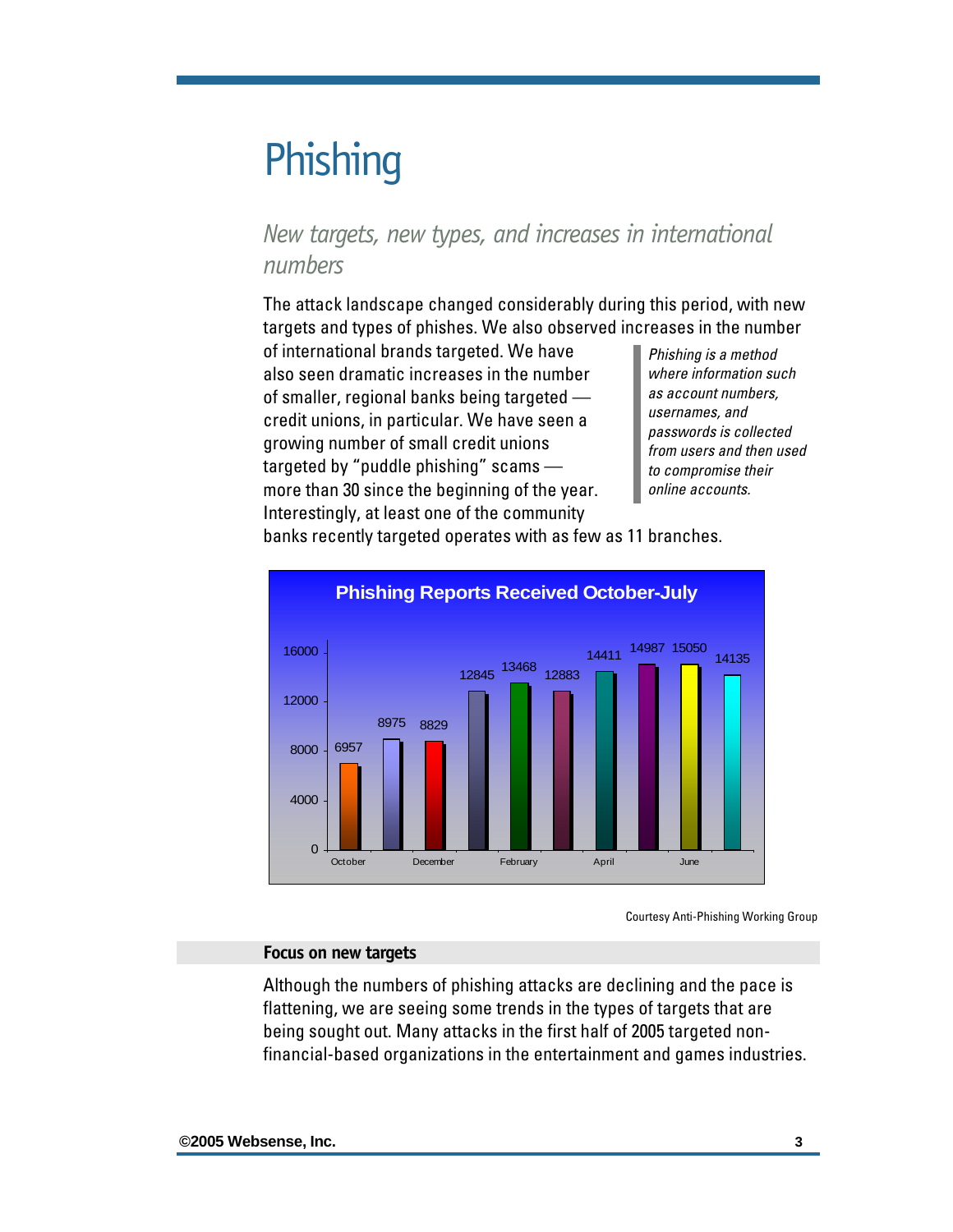### <span id="page-4-0"></span>**Phishing**

### *New targets, new types, and increases in international numbers*

The attack landscape changed considerably during this period, with new targets and types of phishes. We also observed increases in the number

of international brands targeted. We have also seen dramatic increases in the number of smaller, regional banks being targeted credit unions, in particular. We have seen a growing number of small credit unions targeted by "puddle phishing" scams more than 30 since the beginning of the year. Interestingly, at least one of the community

*Phishing is a method where information such as account numbers, usernames, and passwords is collected from users and then used to compromise their online accounts.* 

banks recently targeted operates with as few as 11 branches.



Courtesy Anti-Phishing Working Group

#### **Focus on new targets**

Although the numbers of phishing attacks are declining and the pace is flattening, we are seeing some trends in the types of targets that are being sought out. Many attacks in the first half of 2005 targeted nonfinancial-based organizations in the entertainment and games industries.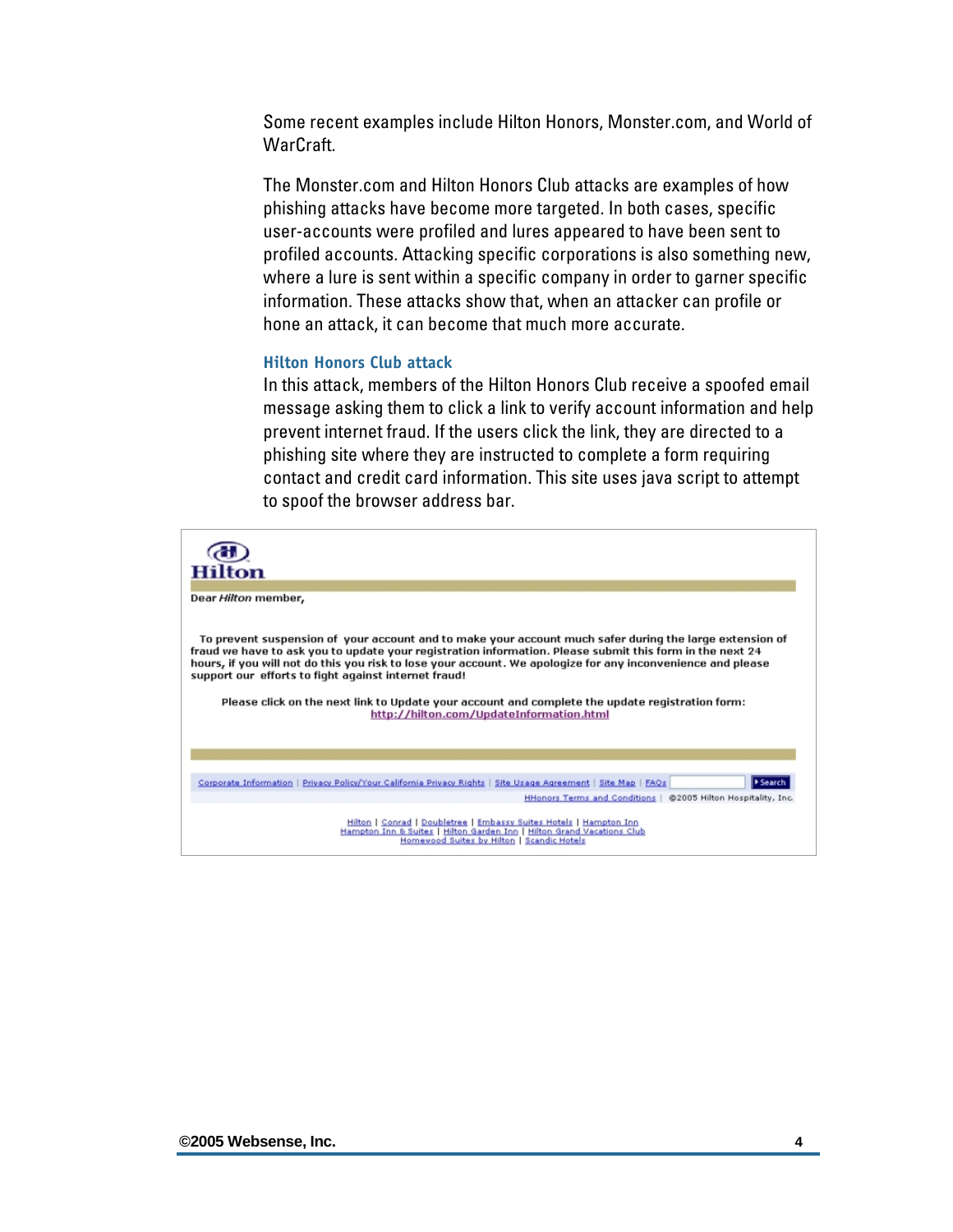<span id="page-5-0"></span>Some recent examples include Hilton Honors, Monster.com, and World of WarCraft.

The Monster.com and Hilton Honors Club attacks are examples of how phishing attacks have become more targeted. In both cases, specific user-accounts were profiled and lures appeared to have been sent to profiled accounts. Attacking specific corporations is also something new, where a lure is sent within a specific company in order to garner specific information. These attacks show that, when an attacker can profile or hone an attack, it can become that much more accurate.

#### **Hilton Honors Club attack**

In this attack, members of the Hilton Honors Club receive a spoofed email message asking them to click a link to verify account information and help prevent internet fraud. If the users click the link, they are directed to a phishing site where they are instructed to complete a form requiring contact and credit card information. This site uses java script to attempt to spoof the browser address bar.

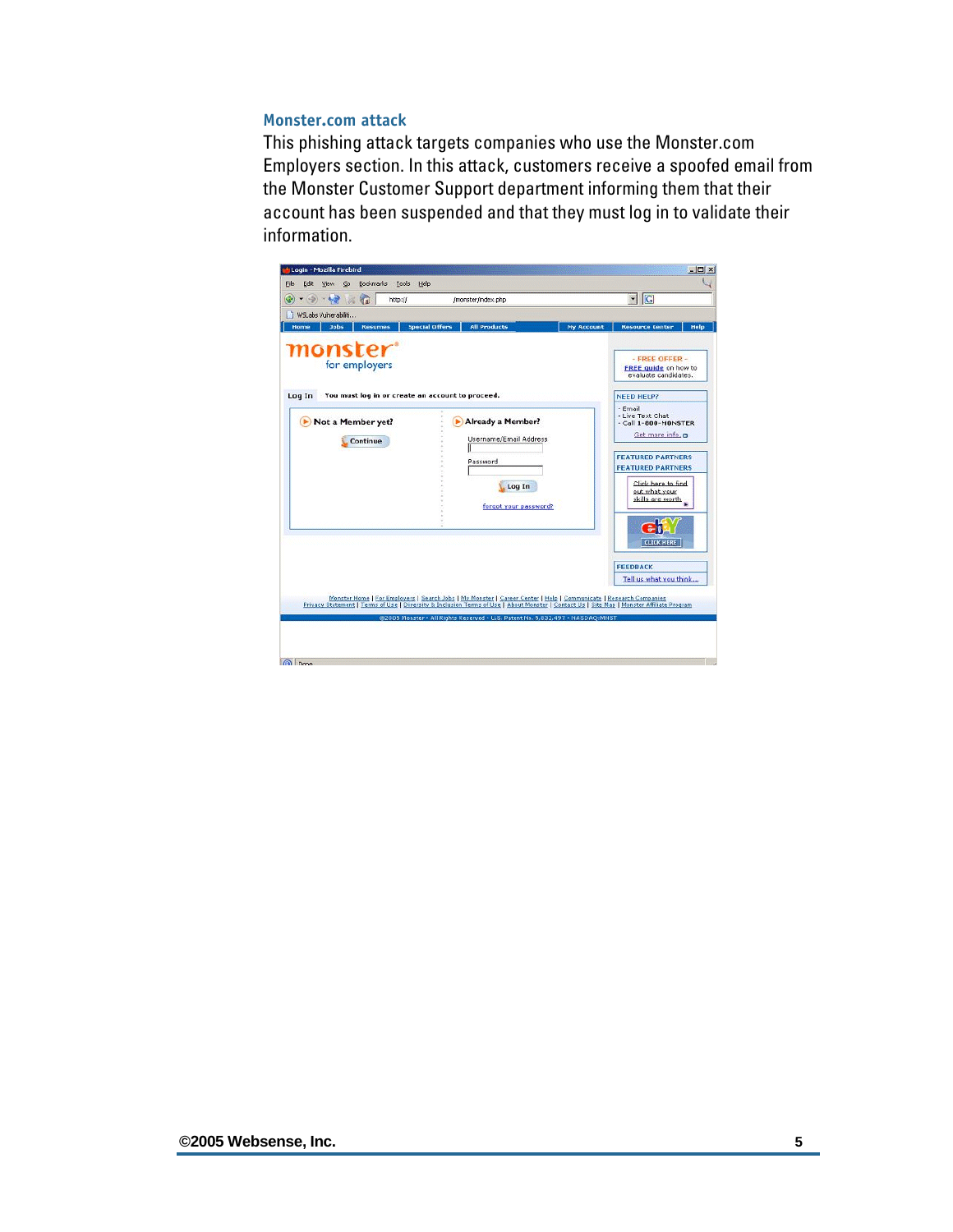#### <span id="page-6-0"></span>**Monster.com attack**

This phishing attack targets companies who use the Monster.com Employers section. In this attack, customers receive a spoofed email from the Monster Customer Support department informing them that their account has been suspended and that they must log in to validate their information.

| $-9 - 69 - 0$<br>http://                                        | /monster/index.php                                                                                                                                                                                                                                             |                   | G <br>$\blacktriangledown$                                                                                                                                                                     |
|-----------------------------------------------------------------|----------------------------------------------------------------------------------------------------------------------------------------------------------------------------------------------------------------------------------------------------------------|-------------------|------------------------------------------------------------------------------------------------------------------------------------------------------------------------------------------------|
| 1 WSLabs Vulnerabiliti<br><b>Resumes</b><br>Home<br><b>Jobs</b> | <b>Special Offers</b><br><b>All Products</b>                                                                                                                                                                                                                   | <b>My Account</b> | <b>Resource Center</b><br><b>Help</b>                                                                                                                                                          |
| <i>monster</i> <sup>*</sup><br>for employers                    |                                                                                                                                                                                                                                                                |                   | - FREE OFFER -<br><b>FREE quide on how to</b><br>evaluate candidates.                                                                                                                          |
| You must log in or create an account to proceed.<br>Log In      |                                                                                                                                                                                                                                                                |                   | <b>NEED HELP?</b>                                                                                                                                                                              |
| Not a Member yet?<br>Continue                                   | <b>Already a Member?</b><br>Username/Email Address<br>Password<br>Log In<br>forgot your password?                                                                                                                                                              |                   | - Email<br>- Live Text Chat<br>- Call 1-800-MONSTER<br>Get more info.<br><b>FEATURED PARTNERS</b><br><b>FEATURED PARTNERS</b><br>Click here to find<br>out what your<br>skills are worth<br>ei |
|                                                                 |                                                                                                                                                                                                                                                                |                   | <b>FEEDBACK</b><br>Tell us what you think                                                                                                                                                      |
|                                                                 | Monster Home   For Employers   Search Jobs   My Monster   Career Center   Help   Communicate   Research Companies<br>Privacy Statement   Terms of Use   Diversity & Inclusion Terms of Use   About Monster   Contact Us   Site Map   Monster Affiliate Program |                   |                                                                                                                                                                                                |
|                                                                 |                                                                                                                                                                                                                                                                |                   | <b>CLICK HERE</b>                                                                                                                                                                              |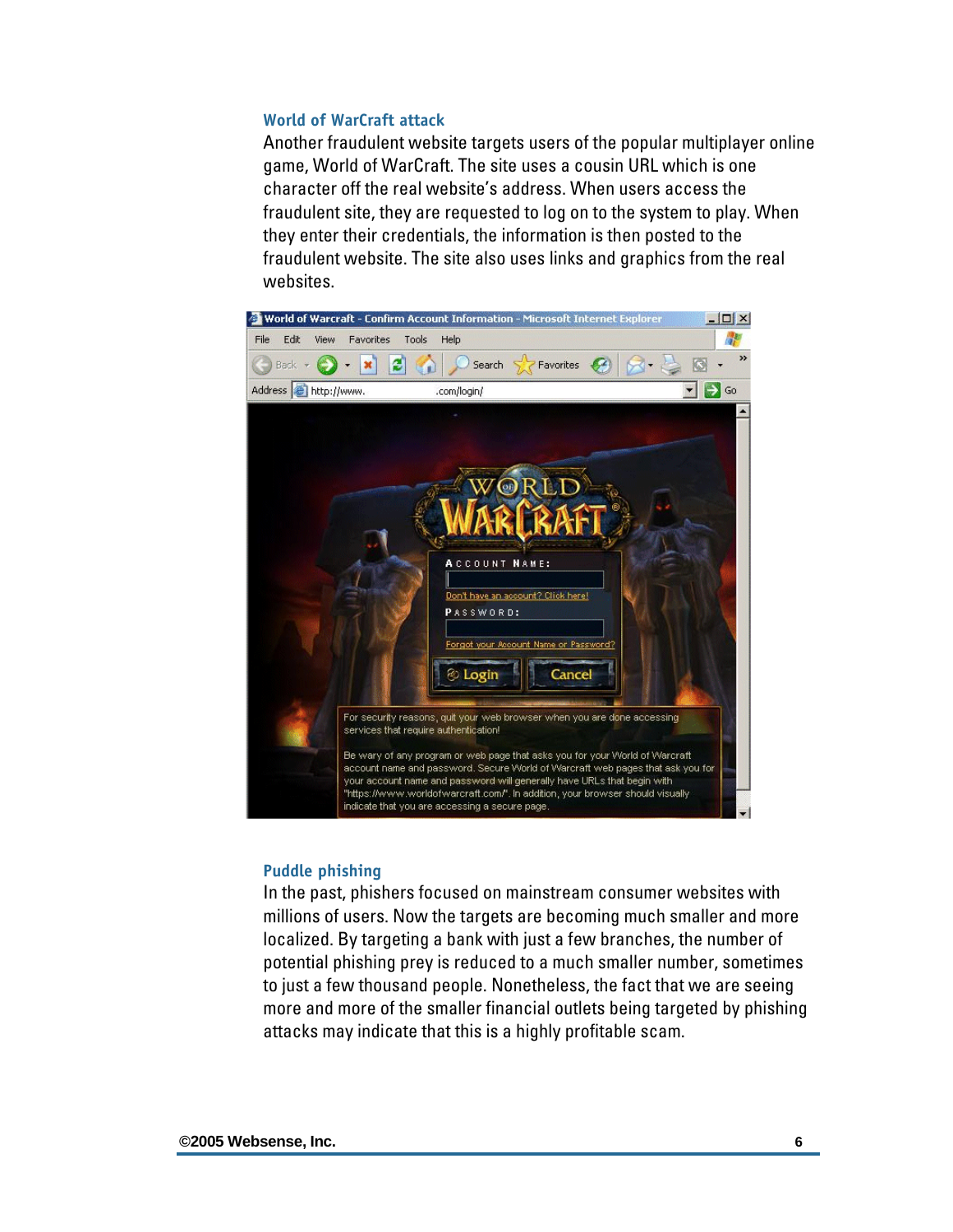#### <span id="page-7-0"></span>**World of WarCraft attack**

Another fraudulent website targets users of the popular multiplayer online game, World of WarCraft. The site uses a cousin URL which is one character off the real website's address. When users access the fraudulent site, they are requested to log on to the system to play. When they enter their credentials, the information is then posted to the fraudulent website. The site also uses links and graphics from the real websites.



#### **Puddle phishing**

In the past, phishers focused on mainstream consumer websites with millions of users. Now the targets are becoming much smaller and more localized. By targeting a bank with just a few branches, the number of potential phishing prey is reduced to a much smaller number, sometimes to just a few thousand people. Nonetheless, the fact that we are seeing more and more of the smaller financial outlets being targeted by phishing attacks may indicate that this is a highly profitable scam.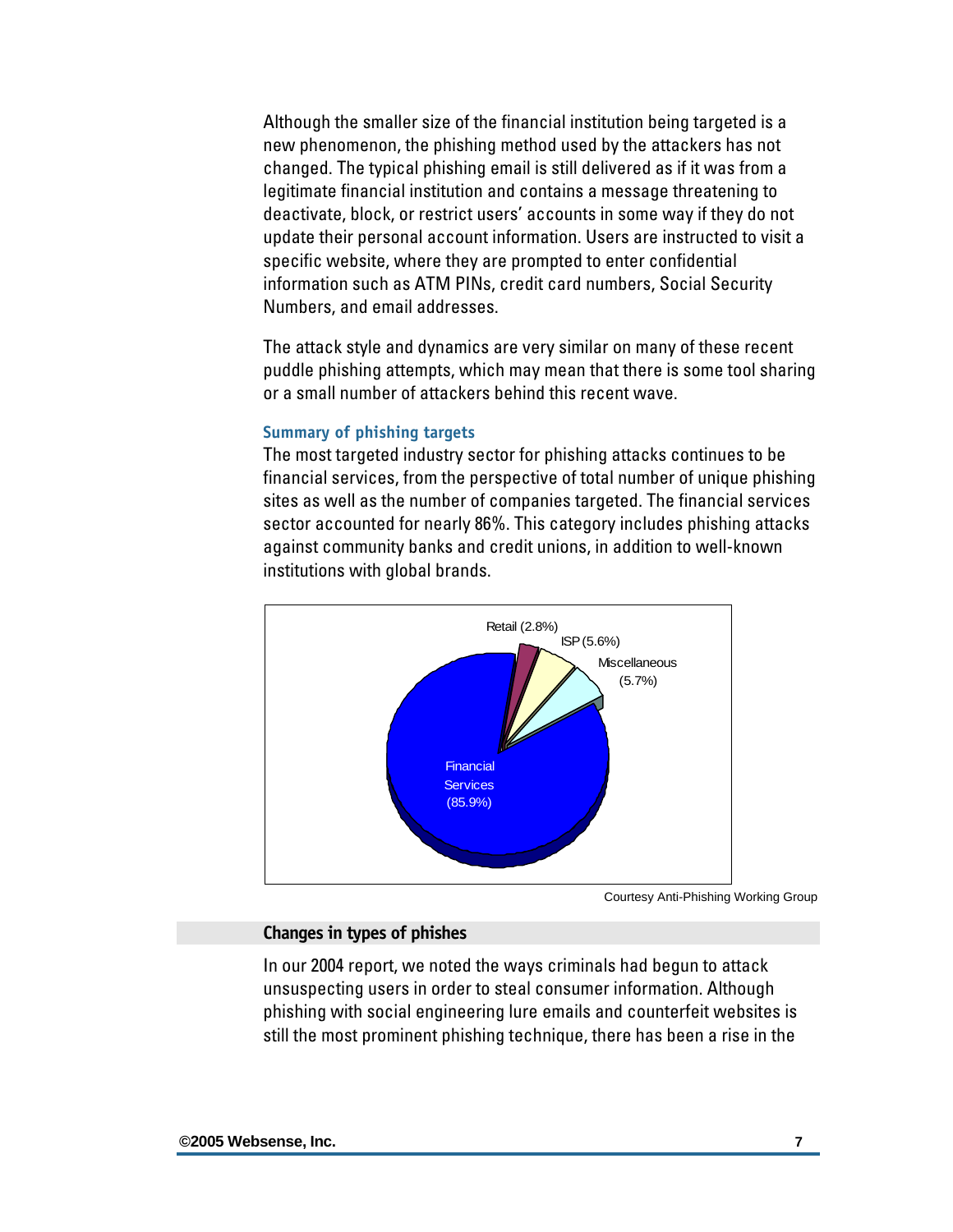<span id="page-8-0"></span>Although the smaller size of the financial institution being targeted is a new phenomenon, the phishing method used by the attackers has not changed. The typical phishing email is still delivered as if it was from a legitimate financial institution and contains a message threatening to deactivate, block, or restrict users' accounts in some way if they do not update their personal account information. Users are instructed to visit a specific website, where they are prompted to enter confidential information such as ATM PINs, credit card numbers, Social Security Numbers, and email addresses.

The attack style and dynamics are very similar on many of these recent puddle phishing attempts, which may mean that there is some tool sharing or a small number of attackers behind this recent wave.

#### **Summary of phishing targets**

The most targeted industry sector for phishing attacks continues to be financial services, from the perspective of total number of unique phishing sites as well as the number of companies targeted. The financial services sector accounted for nearly 86%. This category includes phishing attacks against community banks and credit unions, in addition to well-known institutions with global brands.



Courtesy Anti-Phishing Working Group

#### **Changes in types of phishes**

In our 2004 report, we noted the ways criminals had begun to attack unsuspecting users in order to steal consumer information. Although phishing with social engineering lure emails and counterfeit websites is still the most prominent phishing technique, there has been a rise in the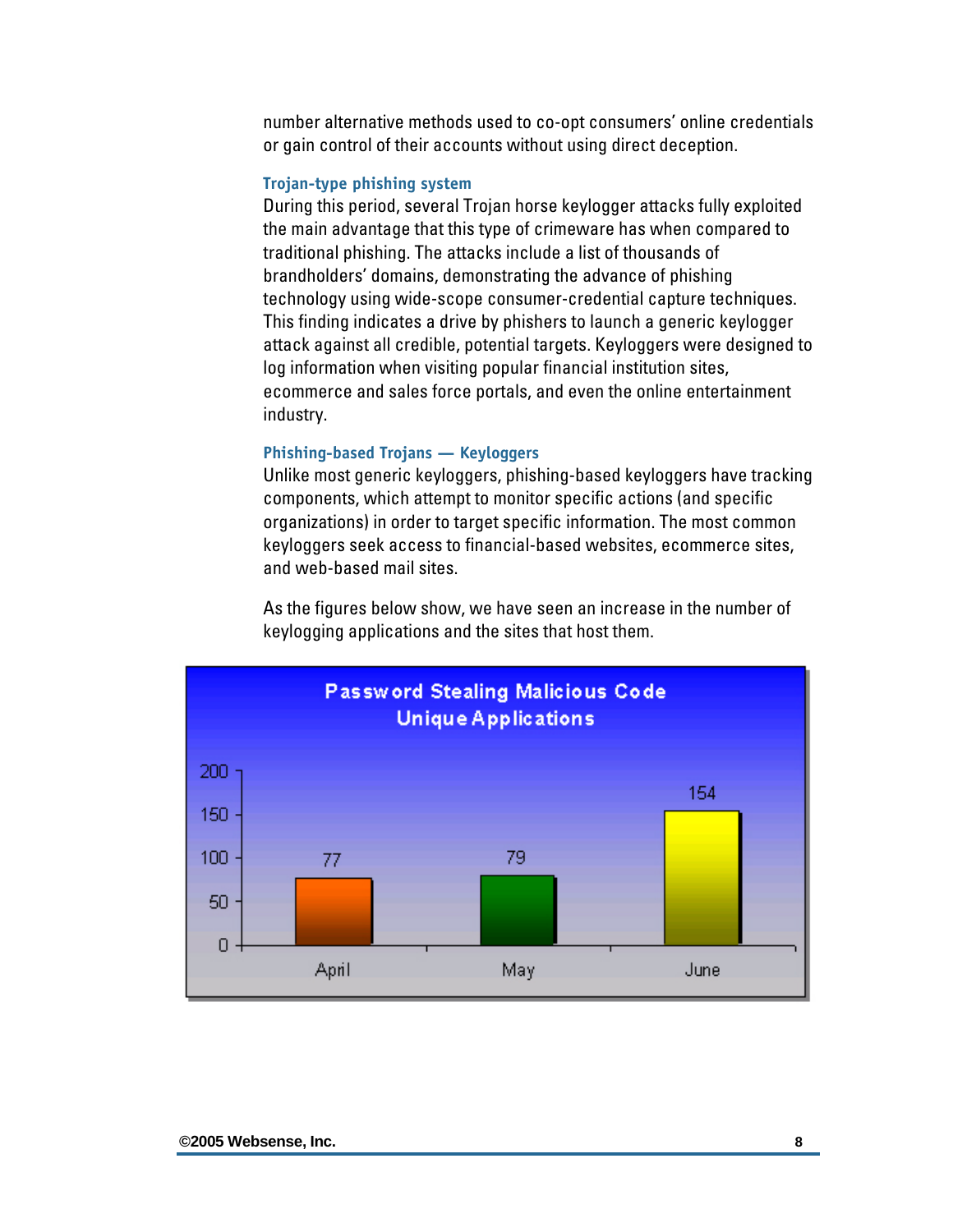<span id="page-9-0"></span>number alternative methods used to co-opt consumers' online credentials or gain control of their accounts without using direct deception.

#### **Trojan-type phishing system**

During this period, several Trojan horse keylogger attacks fully exploited the main advantage that this type of crimeware has when compared to traditional phishing. The attacks include a list of thousands of brandholders' domains, demonstrating the advance of phishing technology using wide-scope consumer-credential capture techniques. This finding indicates a drive by phishers to launch a generic keylogger attack against all credible, potential targets. Keyloggers were designed to log information when visiting popular financial institution sites, ecommerce and sales force portals, and even the online entertainment industry.

#### **Phishing-based Trojans — Keyloggers**

Unlike most generic keyloggers, phishing-based keyloggers have tracking components, which attempt to monitor specific actions (and specific organizations) in order to target specific information. The most common keyloggers seek access to financial-based websites, ecommerce sites, and web-based mail sites.

As the figures below show, we have seen an increase in the number of keylogging applications and the sites that host them.

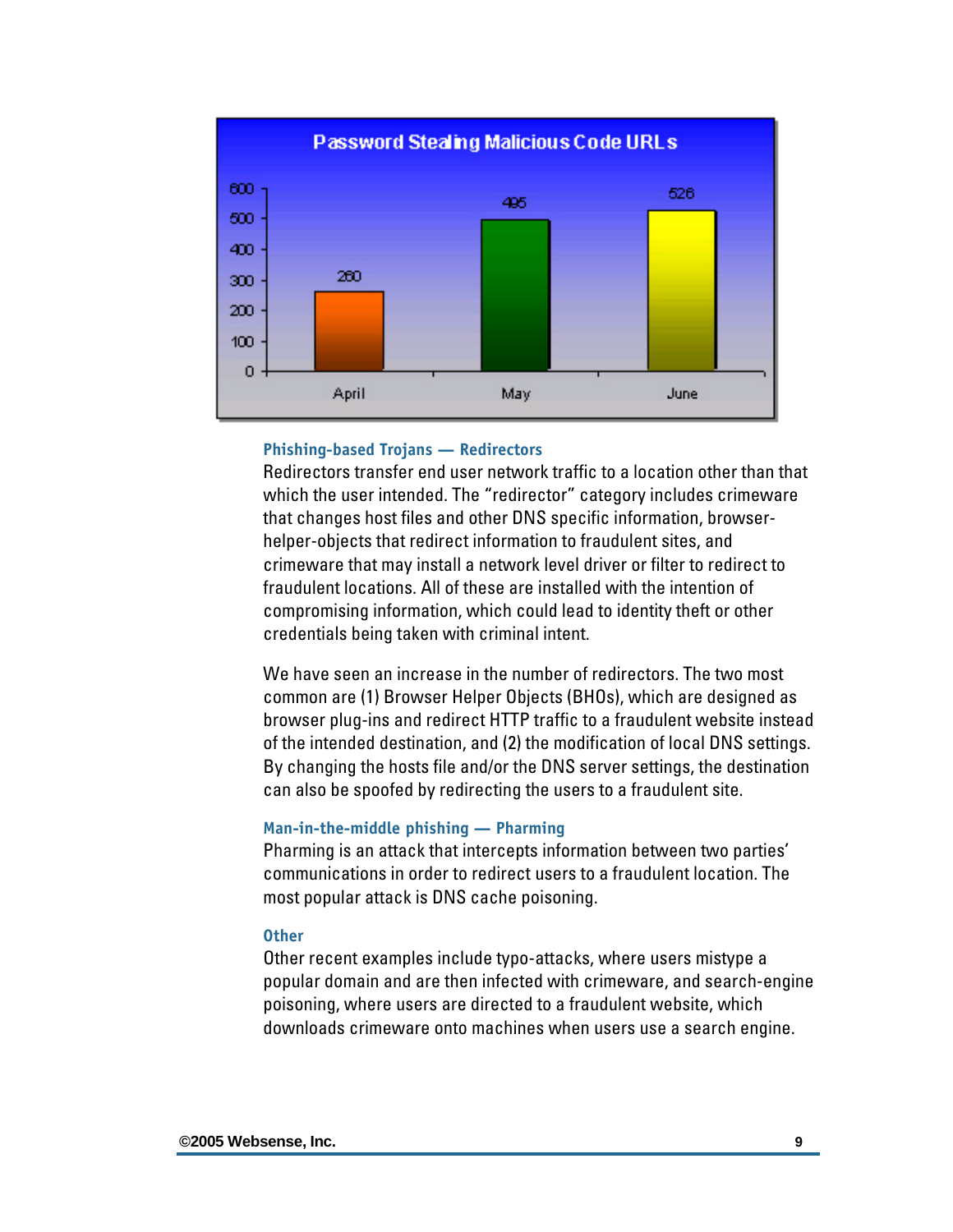<span id="page-10-0"></span>

#### **Phishing-based Trojans — Redirectors**

Redirectors transfer end user network traffic to a location other than that which the user intended. The "redirector" category includes crimeware that changes host files and other DNS specific information, browserhelper-objects that redirect information to fraudulent sites, and crimeware that may install a network level driver or filter to redirect to fraudulent locations. All of these are installed with the intention of compromising information, which could lead to identity theft or other credentials being taken with criminal intent.

We have seen an increase in the number of redirectors. The two most common are (1) Browser Helper Objects (BHOs), which are designed as browser plug-ins and redirect HTTP traffic to a fraudulent website instead of the intended destination, and (2) the modification of local DNS settings. By changing the hosts file and/or the DNS server settings, the destination can also be spoofed by redirecting the users to a fraudulent site.

#### **Man-in-the-middle phishing — Pharming**

Pharming is an attack that intercepts information between two parties' communications in order to redirect users to a fraudulent location. The most popular attack is DNS cache poisoning.

#### **Other**

Other recent examples include typo-attacks, where users mistype a popular domain and are then infected with crimeware, and search-engine poisoning, where users are directed to a fraudulent website, which downloads crimeware onto machines when users use a search engine.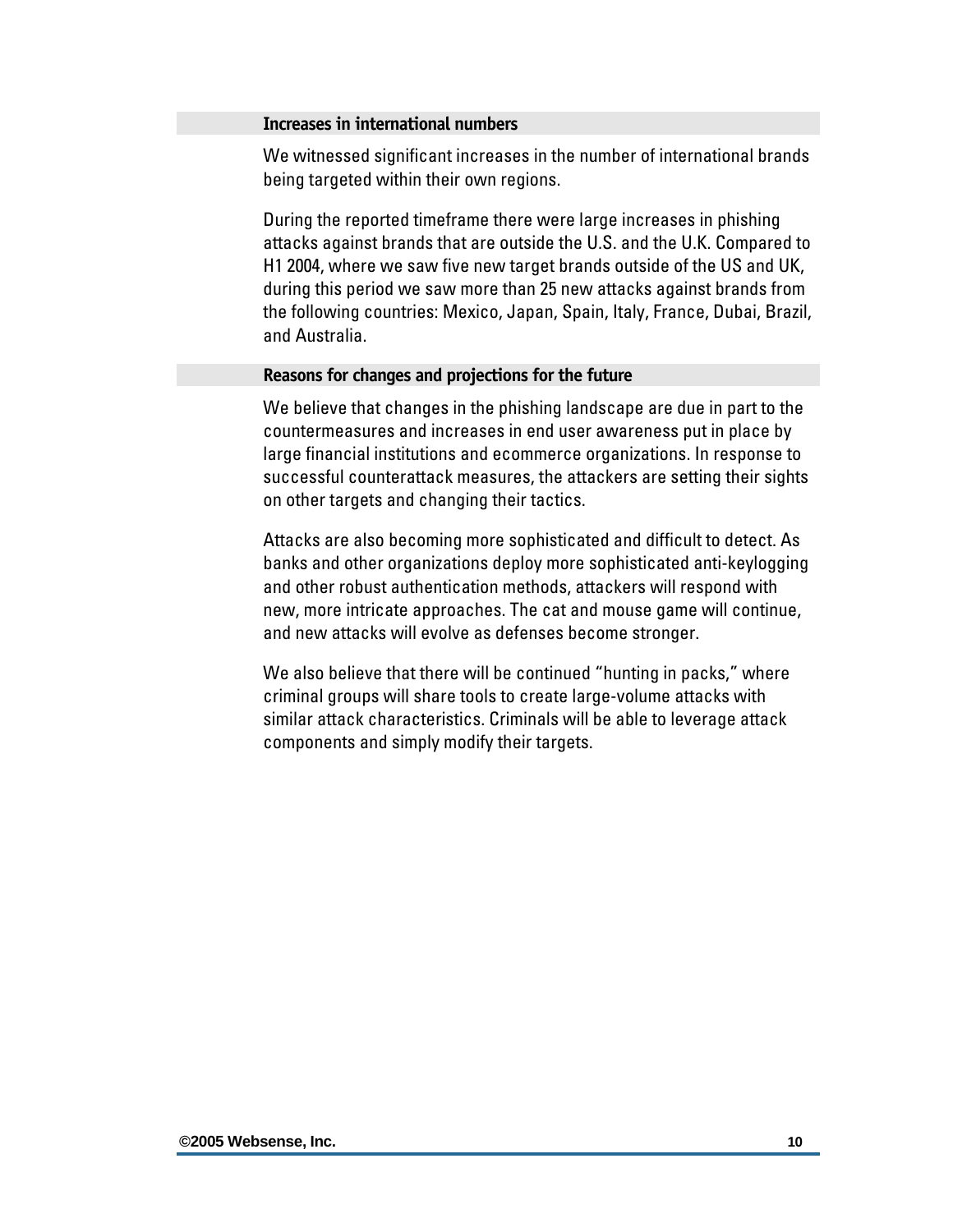#### <span id="page-11-0"></span>**Increases in international numbers**

We witnessed significant increases in the number of international brands being targeted within their own regions.

During the reported timeframe there were large increases in phishing attacks against brands that are outside the U.S. and the U.K. Compared to H1 2004, where we saw five new target brands outside of the US and UK, during this period we saw more than 25 new attacks against brands from the following countries: Mexico, Japan, Spain, Italy, France, Dubai, Brazil, and Australia.

#### **Reasons for changes and projections for the future**

We believe that changes in the phishing landscape are due in part to the countermeasures and increases in end user awareness put in place by large financial institutions and ecommerce organizations. In response to successful counterattack measures, the attackers are setting their sights on other targets and changing their tactics.

Attacks are also becoming more sophisticated and difficult to detect. As banks and other organizations deploy more sophisticated anti-keylogging and other robust authentication methods, attackers will respond with new, more intricate approaches. The cat and mouse game will continue, and new attacks will evolve as defenses become stronger.

We also believe that there will be continued "hunting in packs," where criminal groups will share tools to create large-volume attacks with similar attack characteristics. Criminals will be able to leverage attack components and simply modify their targets.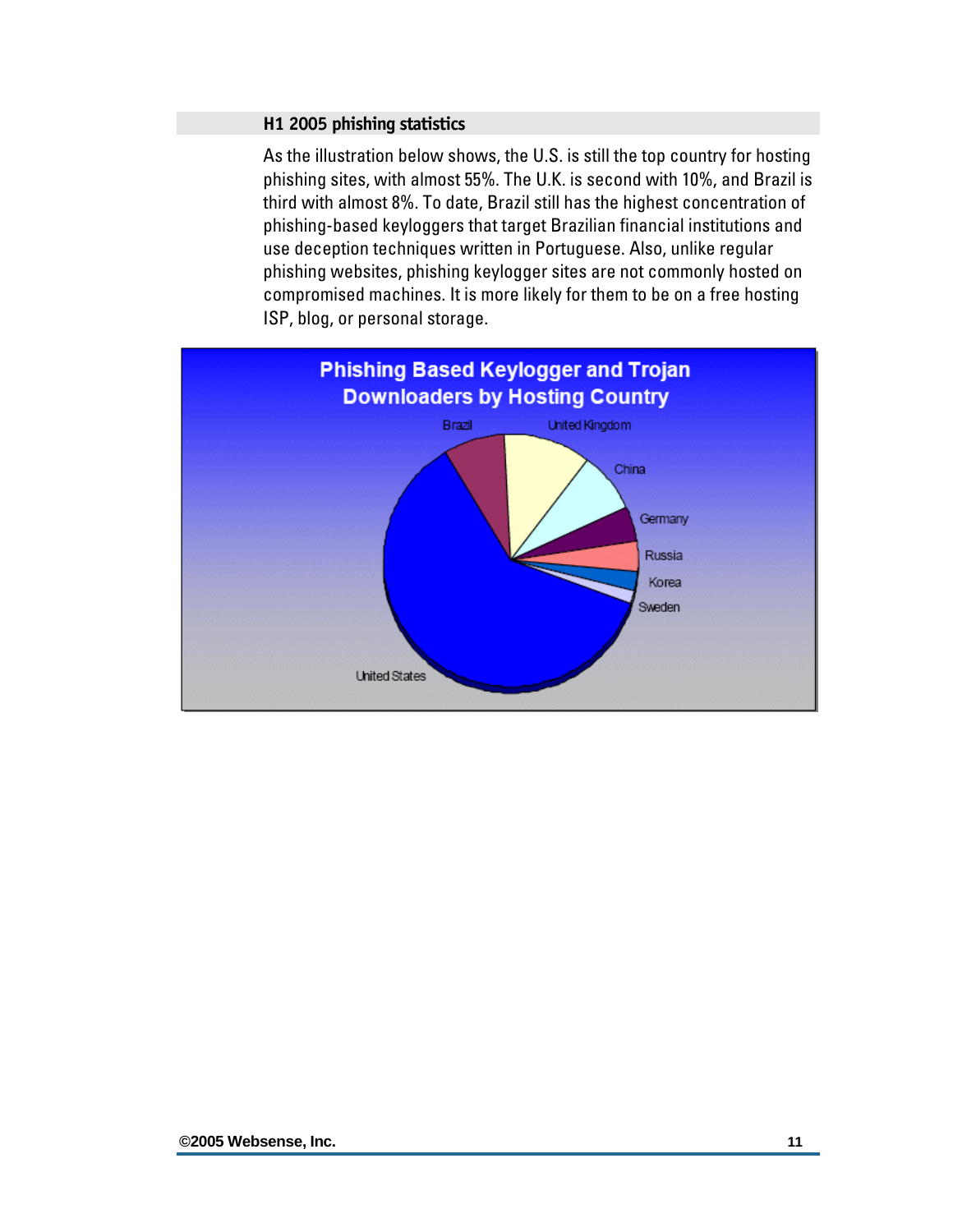#### <span id="page-12-0"></span>**H1 2005 phishing statistics**

As the illustration below shows, the U.S. is still the top country for hosting phishing sites, with almost 55%. The U.K. is second with 10%, and Brazil is third with almost 8%. To date, Brazil still has the highest concentration of phishing-based keyloggers that target Brazilian financial institutions and use deception techniques written in Portuguese. Also, unlike regular phishing websites, phishing keylogger sites are not commonly hosted on compromised machines. It is more likely for them to be on a free hosting ISP, blog, or personal storage.

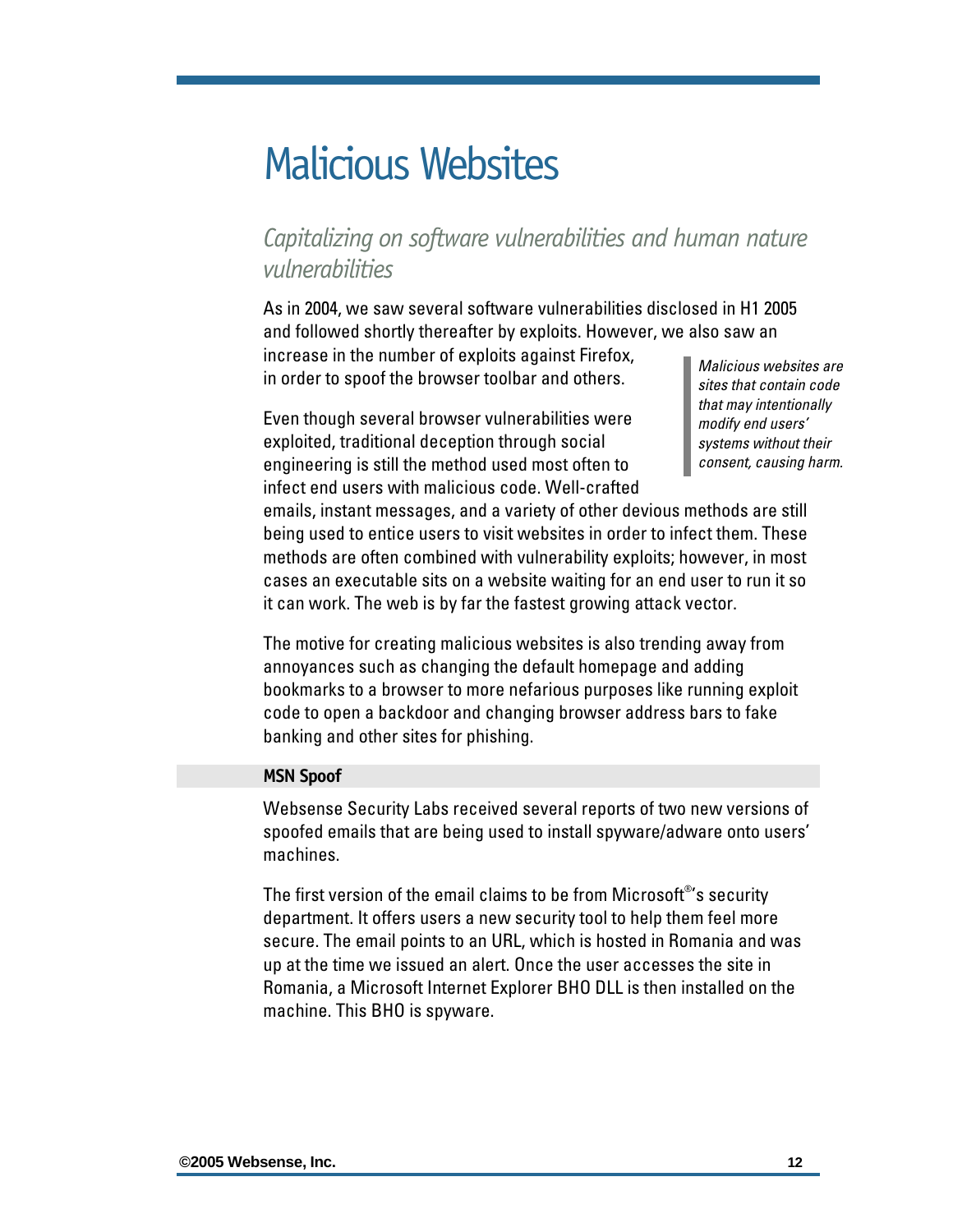### <span id="page-13-0"></span>Malicious Websites

### *Capitalizing on software vulnerabilities and human nature vulnerabilities*

As in 2004, we saw several software vulnerabilities disclosed in H1 2005 and followed shortly thereafter by exploits. However, we also saw an increase in the number of exploits against Firefox,

in order to spoof the browser toolbar and others.

Even though several browser vulnerabilities were exploited, traditional deception through social engineering is still the method used most often to infect end users with malicious code. Well-crafted *Malicious websites are sites that contain code that may intentionally modify end users' systems without their consent, causing harm.* 

emails, instant messages, and a variety of other devious methods are still being used to entice users to visit websites in order to infect them. These methods are often combined with vulnerability exploits; however, in most cases an executable sits on a website waiting for an end user to run it so it can work. The web is by far the fastest growing attack vector.

The motive for creating malicious websites is also trending away from annoyances such as changing the default homepage and adding bookmarks to a browser to more nefarious purposes like running exploit code to open a backdoor and changing browser address bars to fake banking and other sites for phishing.

#### **MSN Spoof**

Websense Security Labs received several reports of two new versions of spoofed emails that are being used to install spyware/adware onto users' machines.

The first version of the email claims to be from Microsoft $^{\circ}$ 's security department. It offers users a new security tool to help them feel more secure. The email points to an URL, which is hosted in Romania and was up at the time we issued an alert. Once the user accesses the site in Romania, a Microsoft Internet Explorer BHO DLL is then installed on the machine. This BHO is spyware.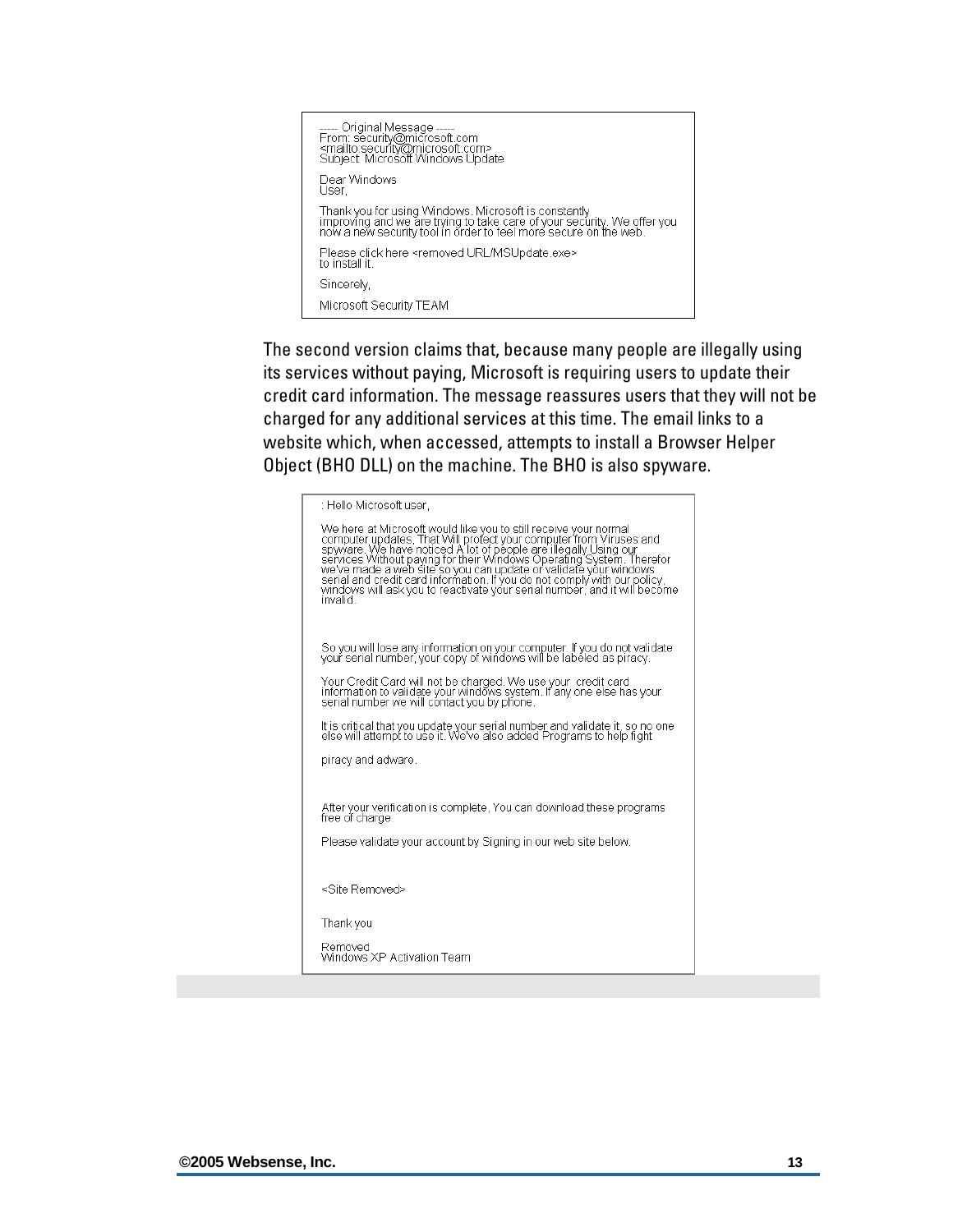

The second version claims that, because many people are illegally using its services without paying, Microsoft is requiring users to update their credit card information. The message reassures users that they will not be charged for any additional services at this time. The email links to a website which, when accessed, attempts to install a Browser Helper Object (BHO DLL) on the machine. The BHO is also spyware.

| : Hello Microsoft user,                                                                                                                                                                                                                          |
|--------------------------------------------------------------------------------------------------------------------------------------------------------------------------------------------------------------------------------------------------|
| We here at Microsoft would like you to still receive your normal<br>computer updates, That Will profect your computer spin spyware. We have noticed A lot of people are illegally Using our<br>services Without paying for their Win<br>invalid. |
| So you will lose any information on your computer. If you do not validate<br>your serial number, your copy of windows will be labeled as piracy.                                                                                                 |
| Your Credit Card will not be charged. We use your credit card<br>information to validate your windows system. If any one else has your<br>serial number we will contact you by phone.                                                            |
| It is critical that you update your serial number and validate it, so no one<br>else will attempt to use it. We've also added Programs to help fight                                                                                             |
| piracy and adware.                                                                                                                                                                                                                               |
| After your verification is complete. You can download these programs<br>free of charge.                                                                                                                                                          |
| Please validate your account by Signing in our web site below.                                                                                                                                                                                   |
| <site removed=""></site>                                                                                                                                                                                                                         |
| Thank you                                                                                                                                                                                                                                        |
| Removed<br>Windows XP Activation Team                                                                                                                                                                                                            |
|                                                                                                                                                                                                                                                  |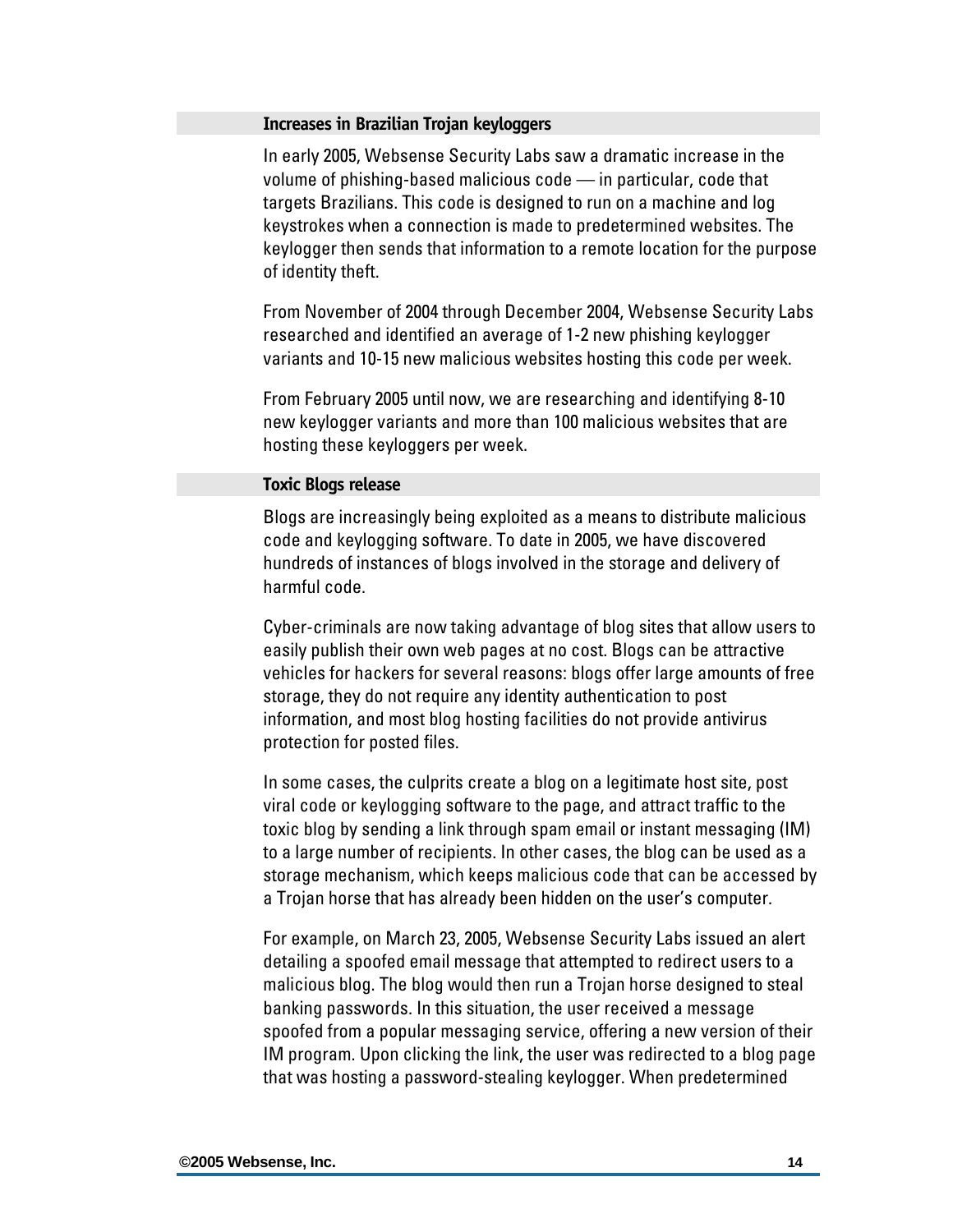#### <span id="page-15-0"></span>**Increases in Brazilian Trojan keyloggers**

In early 2005, Websense Security Labs saw a dramatic increase in the volume of phishing-based malicious code — in particular, code that targets Brazilians. This code is designed to run on a machine and log keystrokes when a connection is made to predetermined websites. The keylogger then sends that information to a remote location for the purpose of identity theft.

From November of 2004 through December 2004, Websense Security Labs researched and identified an average of 1-2 new phishing keylogger variants and 10-15 new malicious websites hosting this code per week.

From February 2005 until now, we are researching and identifying 8-10 new keylogger variants and more than 100 malicious websites that are hosting these keyloggers per week.

#### **Toxic Blogs release**

Blogs are increasingly being exploited as a means to distribute malicious code and keylogging software. To date in 2005, we have discovered hundreds of instances of blogs involved in the storage and delivery of harmful code.

Cyber-criminals are now taking advantage of blog sites that allow users to easily publish their own web pages at no cost. Blogs can be attractive vehicles for hackers for several reasons: blogs offer large amounts of free storage, they do not require any identity authentication to post information, and most blog hosting facilities do not provide antivirus protection for posted files.

In some cases, the culprits create a blog on a legitimate host site, post viral code or keylogging software to the page, and attract traffic to the toxic blog by sending a link through spam email or instant messaging (IM) to a large number of recipients. In other cases, the blog can be used as a storage mechanism, which keeps malicious code that can be accessed by a Trojan horse that has already been hidden on the user's computer.

For example, on March 23, 2005, Websense Security Labs issued an alert detailing a spoofed email message that attempted to redirect users to a malicious blog. The blog would then run a Trojan horse designed to steal banking passwords. In this situation, the user received a message spoofed from a popular messaging service, offering a new version of their IM program. Upon clicking the link, the user was redirected to a blog page that was hosting a password-stealing keylogger. When predetermined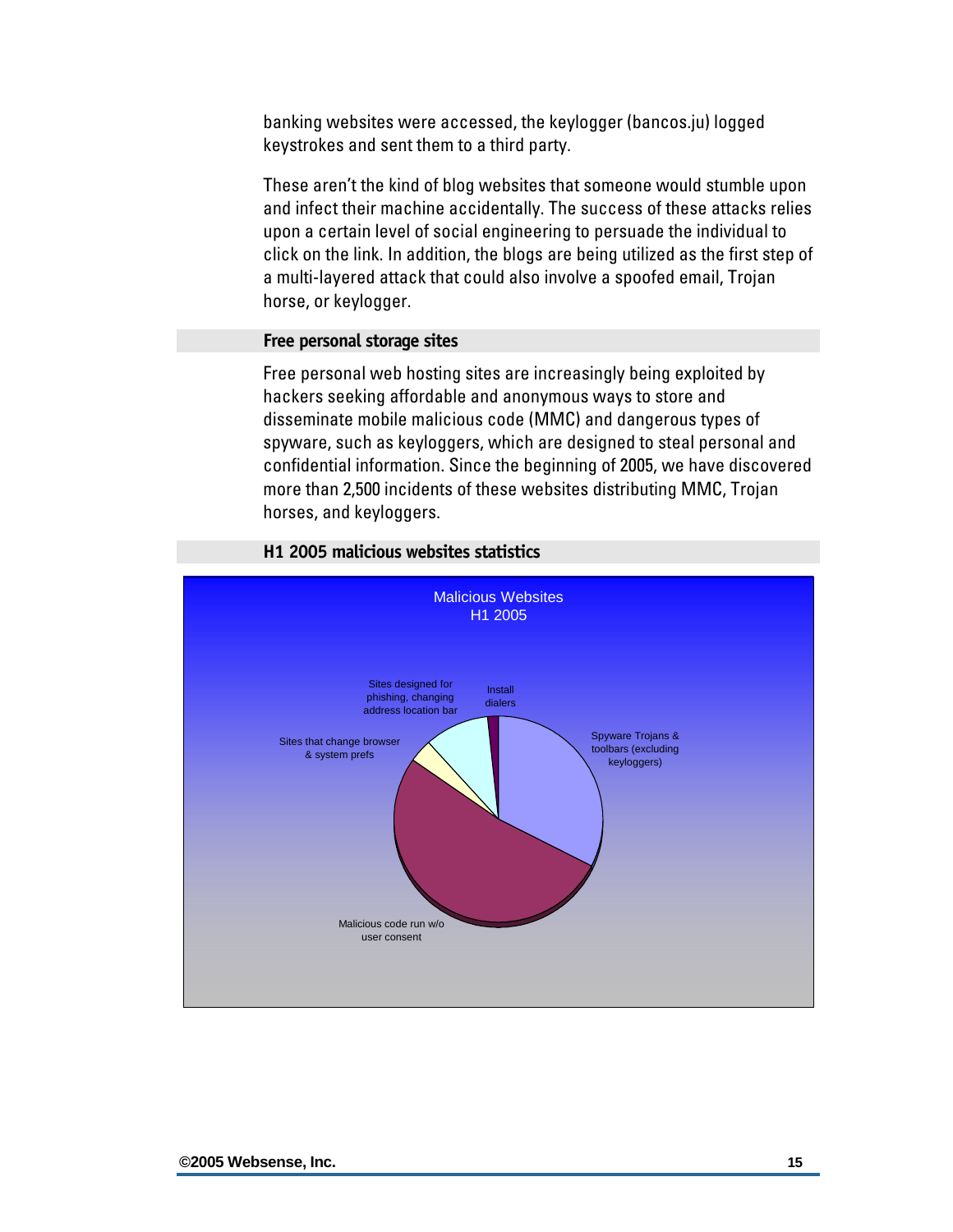<span id="page-16-0"></span>banking websites were accessed, the keylogger (bancos.ju) logged keystrokes and sent them to a third party.

These aren't the kind of blog websites that someone would stumble upon and infect their machine accidentally. The success of these attacks relies upon a certain level of social engineering to persuade the individual to click on the link. In addition, the blogs are being utilized as the first step of a multi-layered attack that could also involve a spoofed email, Trojan horse, or keylogger.

#### **Free personal storage sites**

Free personal web hosting sites are increasingly being exploited by hackers seeking affordable and anonymous ways to store and disseminate mobile malicious code (MMC) and dangerous types of spyware, such as keyloggers, which are designed to steal personal and confidential information. Since the beginning of 2005, we have discovered more than 2,500 incidents of these websites distributing MMC, Trojan horses, and keyloggers.



**H1 2005 malicious websites statistics**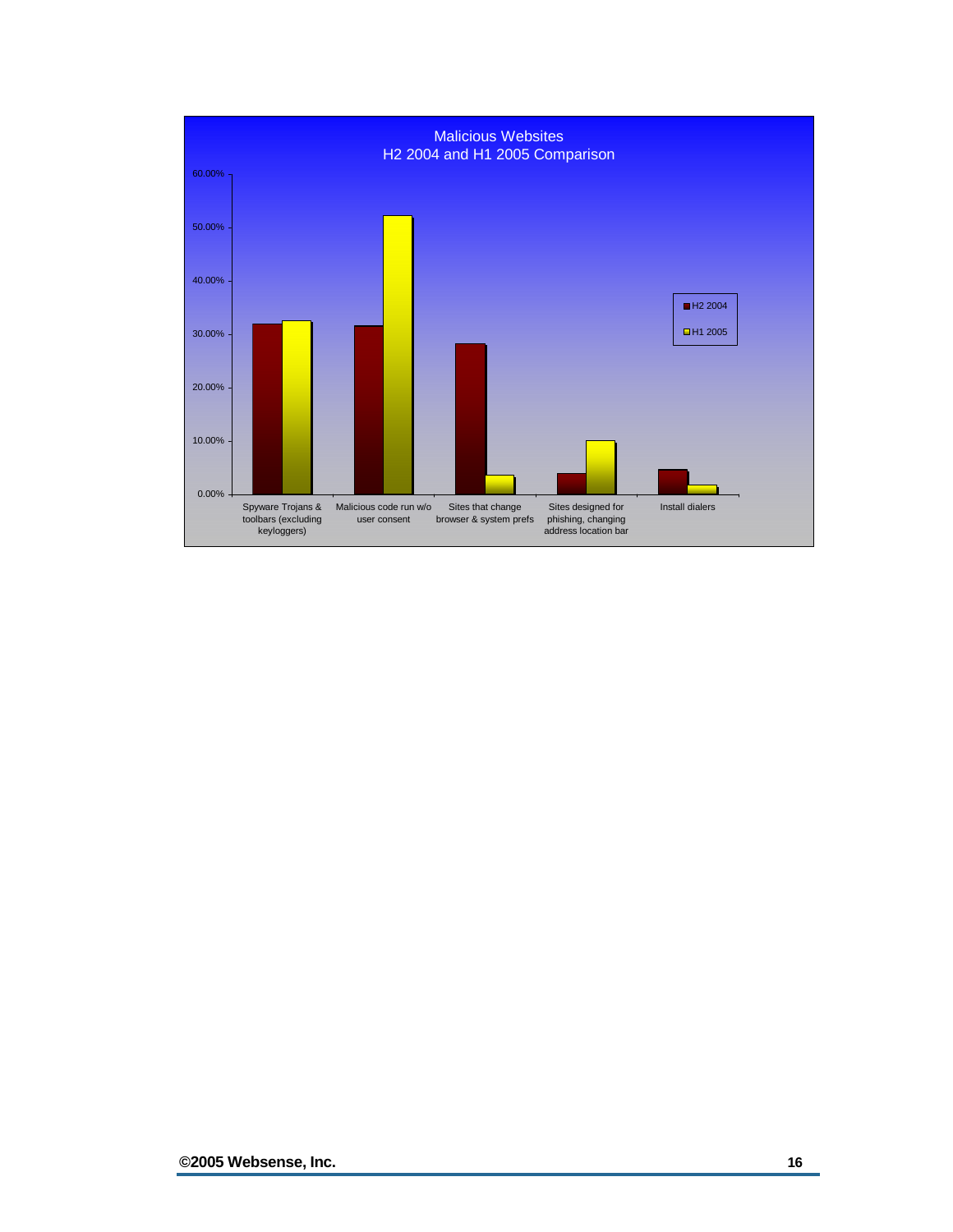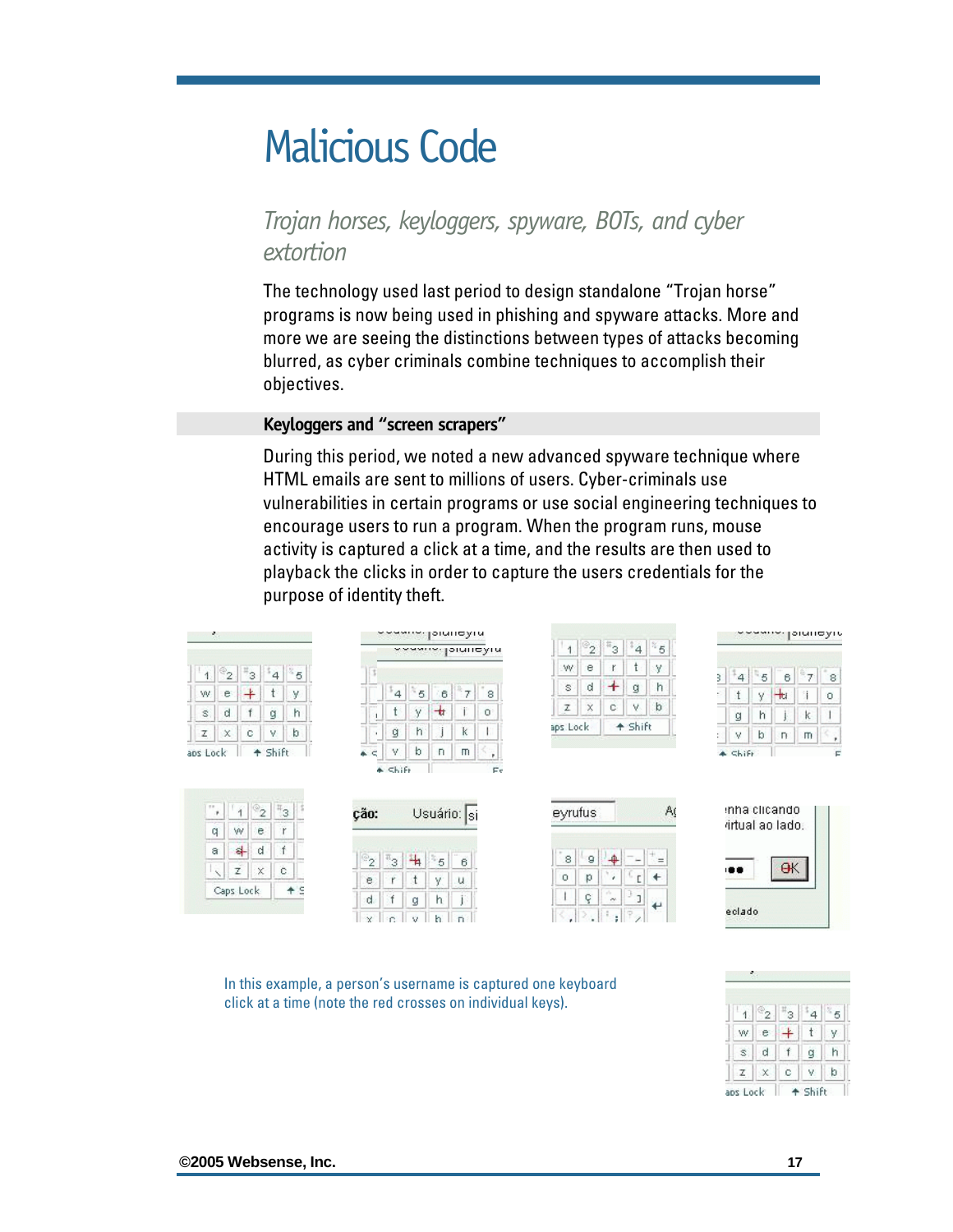### <span id="page-18-0"></span>Malicious Code

### *Trojan horses, keyloggers, spyware, BOTs, and cyber extortion*

The technology used last period to design standalone "Trojan horse" programs is now being used in phishing and spyware attacks. More and more we are seeing the distinctions between types of attacks becoming blurred, as cyber criminals combine techniques to accomplish their objectives.

#### **Keyloggers and "screen scrapers"**

During this period, we noted a new advanced spyware technique where HTML emails are sent to millions of users. Cyber-criminals use vulnerabilities in certain programs or use social engineering techniques to encourage users to run a program. When the program runs, mouse activity is captured a click at a time, and the results are then used to playback the clicks in order to capture the users credentials for the purpose of identity theft.

| 59       |                  |                    |         |                  |      |                               | Andwick:       |                    |           | Joiningha    |                            |          |               |              |          |                |                               |         | $\sim$ $\sim$ $\sim$ $\sim$ $\sim$ |                  |               | piunoyiu               |
|----------|------------------|--------------------|---------|------------------|------|-------------------------------|----------------|--------------------|-----------|--------------|----------------------------|----------|---------------|--------------|----------|----------------|-------------------------------|---------|------------------------------------|------------------|---------------|------------------------|
|          |                  |                    |         |                  |      |                               |                |                    |           |              | <b>Andrews</b> Joining Air |          | $\frac{2}{2}$ | 43.          | $^*$ 4   | 85             |                               |         |                                    |                  |               |                        |
|          | ್2               | †3                 | 4       | 85               |      |                               |                |                    |           |              |                            | W.       | е             | r.           |          | у              |                               | 4       | $^{11}$ 5 b                        | 6                | $\mathcal{T}$ |                        |
| W.       | e                | ∔                  |         | V                |      |                               | 4              | 5 <sub>5</sub>     | 6         | $\tau$       | 8                          | s        | d             | +            | ġ        | h              | 3<br>$\overline{\mathcal{O}}$ |         | sí.                                | HU.              |               | $^{\circ}8$<br>$\circ$ |
| s        | d                |                    | g       | h                |      |                               |                | v                  | せ         |              | $\circ$                    | z        | X             | $\mathbb{C}$ | ٧        | $\mathfrak{b}$ |                               | g       | h                                  |                  | κ             |                        |
| z        | $\times$         | c                  | v.      | þ                |      |                               | ġ              | h                  |           | K            |                            | aps Lock |               |              | + Shift  |                | $\mathbb{R}^3$                | ٧       | b                                  | n                | m             | ٠                      |
| aps Lock |                  |                    | + Shift |                  |      | and the<br>$\triangle$ $\leq$ | ٧              | b                  | $\Box$    | $\mathsf{m}$ | Ÿ.                         |          |               |              |          |                |                               | * Shift |                                    |                  |               | Е                      |
|          |                  |                    |         |                  |      |                               | $*$ Shift      |                    |           |              | Éc                         |          |               |              |          |                |                               |         |                                    |                  |               |                        |
|          |                  |                    |         |                  |      |                               |                |                    |           |              |                            |          |               |              |          |                |                               |         |                                    |                  |               |                        |
| 18       |                  | $\mathbb{P}_2$     |         | $\overline{1}^3$ | ção: |                               |                |                    |           | Usuário: si  |                            | eyrufus  |               |              |          | A              |                               |         |                                    | inha clicando    |               |                        |
| q.       | w                | e                  |         |                  |      |                               |                |                    |           |              |                            |          |               |              |          |                |                               |         |                                    | rirtual ao lado. |               |                        |
| a        | $\left  \right $ | d                  |         |                  |      | $\mathbb{P}_2$                | $\mathbb{F}_3$ | ₩                  | - 5       | $\sim 1$ .   |                            | ×<br>8   | 9             | 血            |          | ≔              |                               |         |                                    |                  |               |                        |
| K        | z                | $\mathsf{\hat{X}}$ |         | C                |      |                               | $\sim$         | $\left  + \right $ | August 11 | 6<br>1919.   |                            | $\Omega$ | <b>t</b>      | ¥            | TG.<br>r | $\leftarrow$   |                               | 1818    |                                    | $\Theta$ K       |               |                        |

 $\mathbf{Q}$ 

In this example, a person's username is captured one keyboard click at a time (note the red crosses on individual keys).

 $e \mid r \mid t \mid y$ 

 $d \mid f \mid g \mid h$ 

 $x c | v | h | n$ 

 $u$ 

下

|   |    |   |   | k |
|---|----|---|---|---|
| 1 |    |   |   | 5 |
| w | e. |   |   |   |
|   | d  |   | g |   |
|   |    | с |   |   |

eclado

**©2005 Websense, Inc. 17**

Caps Lock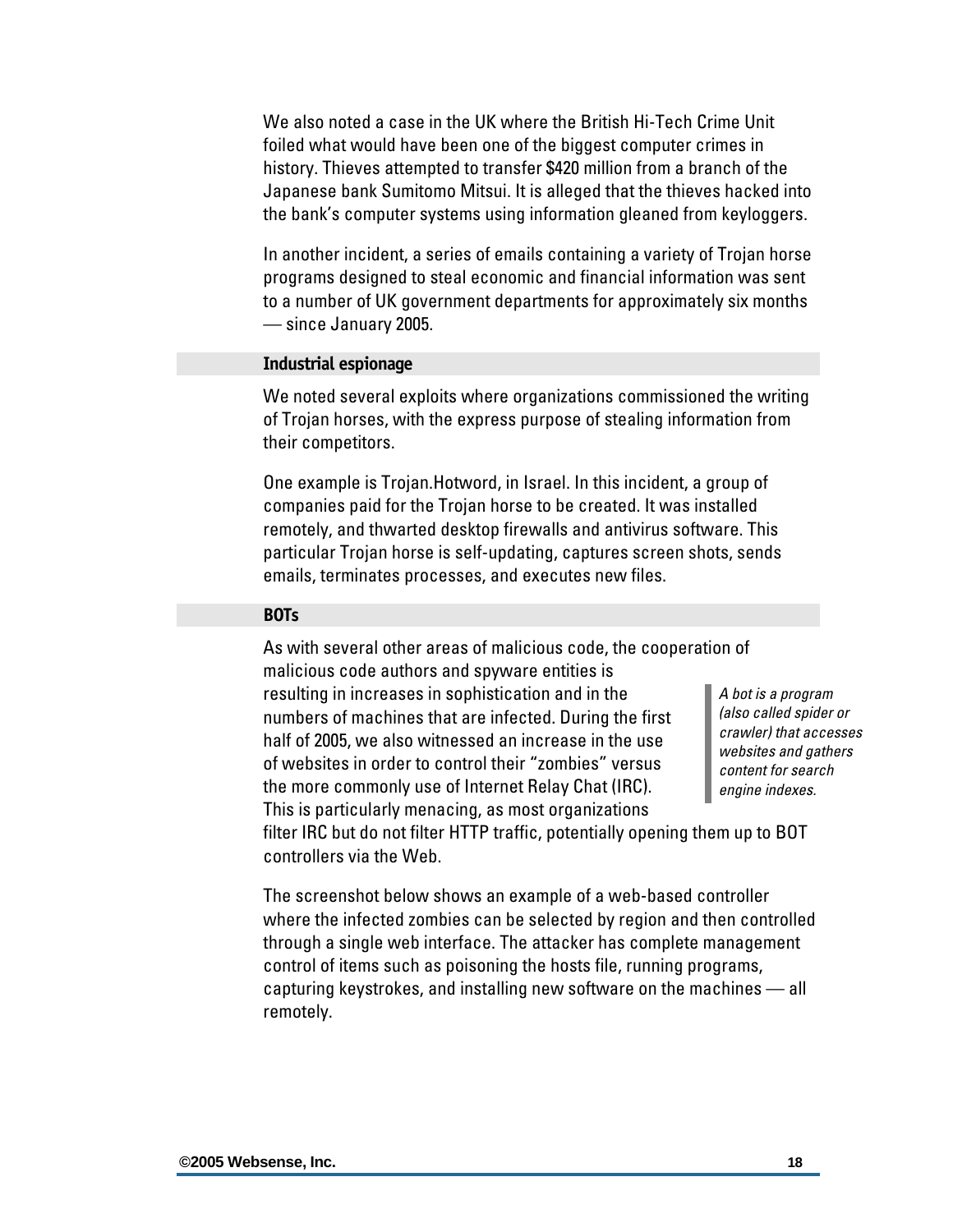<span id="page-19-0"></span>We also noted a case in the UK where the British Hi-Tech Crime Unit foiled what would have been one of the biggest computer crimes in history. Thieves attempted to transfer \$420 million from a branch of the Japanese bank Sumitomo Mitsui. It is alleged that the thieves hacked into the bank's computer systems using information gleaned from keyloggers.

In another incident, a series of emails containing a variety of Trojan horse programs designed to steal economic and financial information was sent to a number of UK government departments for approximately six months — since January 2005.

#### **Industrial espionage**

We noted several exploits where organizations commissioned the writing of Trojan horses, with the express purpose of stealing information from their competitors.

One example is Trojan.Hotword, in Israel. In this incident, a group of companies paid for the Trojan horse to be created. It was installed remotely, and thwarted desktop firewalls and antivirus software. This particular Trojan horse is self-updating, captures screen shots, sends emails, terminates processes, and executes new files.

#### **BOTs**

As with several other areas of malicious code, the cooperation of malicious code authors and spyware entities is

resulting in increases in sophistication and in the numbers of machines that are infected. During the first half of 2005, we also witnessed an increase in the use of websites in order to control their "zombies" versus the more commonly use of Internet Relay Chat (IRC). This is particularly menacing, as most organizations

*A bot is a program (also called spider or crawler) that accesses websites and gathers content for search engine indexes.*

filter IRC but do not filter HTTP traffic, potentially opening them up to BOT controllers via the Web.

The screenshot below shows an example of a web-based controller where the infected zombies can be selected by region and then controlled through a single web interface. The attacker has complete management control of items such as poisoning the hosts file, running programs, capturing keystrokes, and installing new software on the machines — all remotely.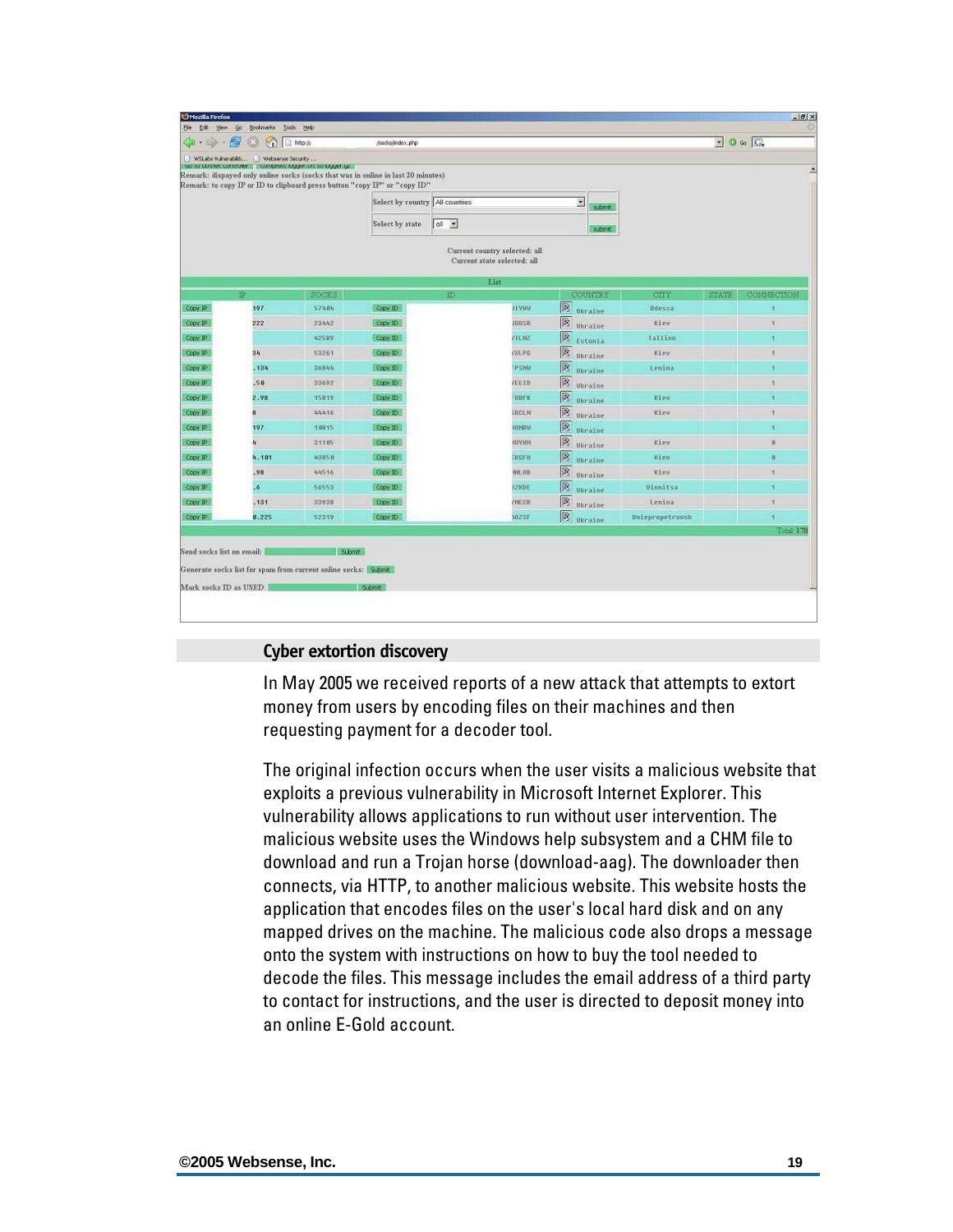<span id="page-20-0"></span>

| WSLabs Wuherabiliti Webserve Security<br>TOD TO DOINER CONTIDENT. THE CONTIDENS TO DURING TO TO DURINGE<br>Remark: dispayed only online socks (socks that was in online in last 20 minutes)<br>Remark: to copy IP or ID to clipboard press button "copy IP" or "copy ID" | Select by country   All countries |                    |              | $\overline{\phantom{a}}$                                                             |                                                                                                                                                                                            |              |            |
|--------------------------------------------------------------------------------------------------------------------------------------------------------------------------------------------------------------------------------------------------------------------------|-----------------------------------|--------------------|--------------|--------------------------------------------------------------------------------------|--------------------------------------------------------------------------------------------------------------------------------------------------------------------------------------------|--------------|------------|
|                                                                                                                                                                                                                                                                          |                                   |                    |              |                                                                                      |                                                                                                                                                                                            |              |            |
|                                                                                                                                                                                                                                                                          |                                   |                    |              |                                                                                      |                                                                                                                                                                                            |              |            |
|                                                                                                                                                                                                                                                                          |                                   |                    |              |                                                                                      |                                                                                                                                                                                            |              |            |
|                                                                                                                                                                                                                                                                          |                                   |                    |              | submit                                                                               |                                                                                                                                                                                            |              |            |
|                                                                                                                                                                                                                                                                          | Select by state                   | $ol$ $\rightarrow$ |              | submit                                                                               |                                                                                                                                                                                            |              |            |
|                                                                                                                                                                                                                                                                          |                                   |                    |              |                                                                                      |                                                                                                                                                                                            |              |            |
|                                                                                                                                                                                                                                                                          |                                   |                    |              |                                                                                      |                                                                                                                                                                                            |              |            |
| SOCKS                                                                                                                                                                                                                                                                    |                                   | ID                 |              | COUNTRY                                                                              | CTTY                                                                                                                                                                                       | <b>STATE</b> | CONNECTION |
|                                                                                                                                                                                                                                                                          |                                   |                    |              |                                                                                      |                                                                                                                                                                                            |              | ç          |
| 23442                                                                                                                                                                                                                                                                    |                                   |                    | JOOSR        | Ukraine                                                                              | Kiew                                                                                                                                                                                       |              |            |
| 42589                                                                                                                                                                                                                                                                    | Copy ID                           |                    | 71LN2        | Estonia                                                                              | Tallinn                                                                                                                                                                                    |              | ٩          |
| 53261                                                                                                                                                                                                                                                                    | Copy ID                           |                    | <b>FXLPE</b> |                                                                                      | Kiev                                                                                                                                                                                       |              | ń,         |
| 36844                                                                                                                                                                                                                                                                    | Copy ID                           |                    | <b>PSMM</b>  |                                                                                      | Lenina                                                                                                                                                                                     |              | 1          |
| 33692                                                                                                                                                                                                                                                                    | Copy ID                           |                    | /EE10        |                                                                                      |                                                                                                                                                                                            |              | 1          |
| 15819                                                                                                                                                                                                                                                                    | Copy ID                           |                    | <b>UBFK</b>  |                                                                                      | Kies                                                                                                                                                                                       |              | a          |
| 44416                                                                                                                                                                                                                                                                    | Copy ID                           |                    | <b>SRCLN</b> | Ukraine                                                                              | Kiev.                                                                                                                                                                                      |              | ń,         |
| 18815                                                                                                                                                                                                                                                                    | Copy ID                           |                    | <b>IDNBV</b> |                                                                                      |                                                                                                                                                                                            |              | 1          |
| 311 85                                                                                                                                                                                                                                                                   | Copy ID                           |                    | HUYHM        | 险<br>Ukraine                                                                         | Kiev                                                                                                                                                                                       |              | ä          |
| 4.101<br>43858                                                                                                                                                                                                                                                           | Copy ID                           |                    | <b>EKGFH</b> | 國<br>Ukraine                                                                         | Kipp                                                                                                                                                                                       |              | ø          |
| 44516                                                                                                                                                                                                                                                                    | Copy ID                           |                    | <b>INLDB</b> | Ukraine                                                                              | Kieu:                                                                                                                                                                                      |              | H.         |
| 56553                                                                                                                                                                                                                                                                    | Copy ID                           |                    | <b>SZKDE</b> | 図<br>Ukraine                                                                         | Uinnitsa                                                                                                                                                                                   |              | ۹          |
| 33938                                                                                                                                                                                                                                                                    | Copy ID                           |                    | <b>ZNECR</b> | 図<br>Ukraine                                                                         | Lenina                                                                                                                                                                                     |              |            |
| 0.225<br>52319                                                                                                                                                                                                                                                           | Copy ID                           |                    | 102SF        | [B] <sub>Ukraine</sub>                                                               | <b>Dniepropetrousk</b>                                                                                                                                                                     |              |            |
|                                                                                                                                                                                                                                                                          | 57484                             | Copy ID<br>Copy ID |              | Current country selected: all<br>Current state selected: all<br>List<br><b>FIVHW</b> | <b>图</b> Ukraine<br>$\mathbb{R}$<br>$\mathbb{R}$<br><b>B</b> Ukraine<br><b>B</b> Ukraine<br><b>B</b> Ukraine<br>$\left \frac{1}{2}\right $ Ukraine<br>厬<br><b>S</b> Ukraine<br>$\boxed{S}$ | Ddessa       |            |

#### **Cyber extortion discovery**

In May 2005 we received reports of a new attack that attempts to extort money from users by encoding files on their machines and then requesting payment for a decoder tool.

The original infection occurs when the user visits a malicious website that exploits a previous vulnerability in Microsoft Internet Explorer. This vulnerability allows applications to run without user intervention. The malicious website uses the Windows help subsystem and a CHM file to download and run a Trojan horse (download-aag). The downloader then connects, via HTTP, to another malicious website. This website hosts the application that encodes files on the user's local hard disk and on any mapped drives on the machine. The malicious code also drops a message onto the system with instructions on how to buy the tool needed to decode the files. This message includes the email address of a third party to contact for instructions, and the user is directed to deposit money into an online E-Gold account.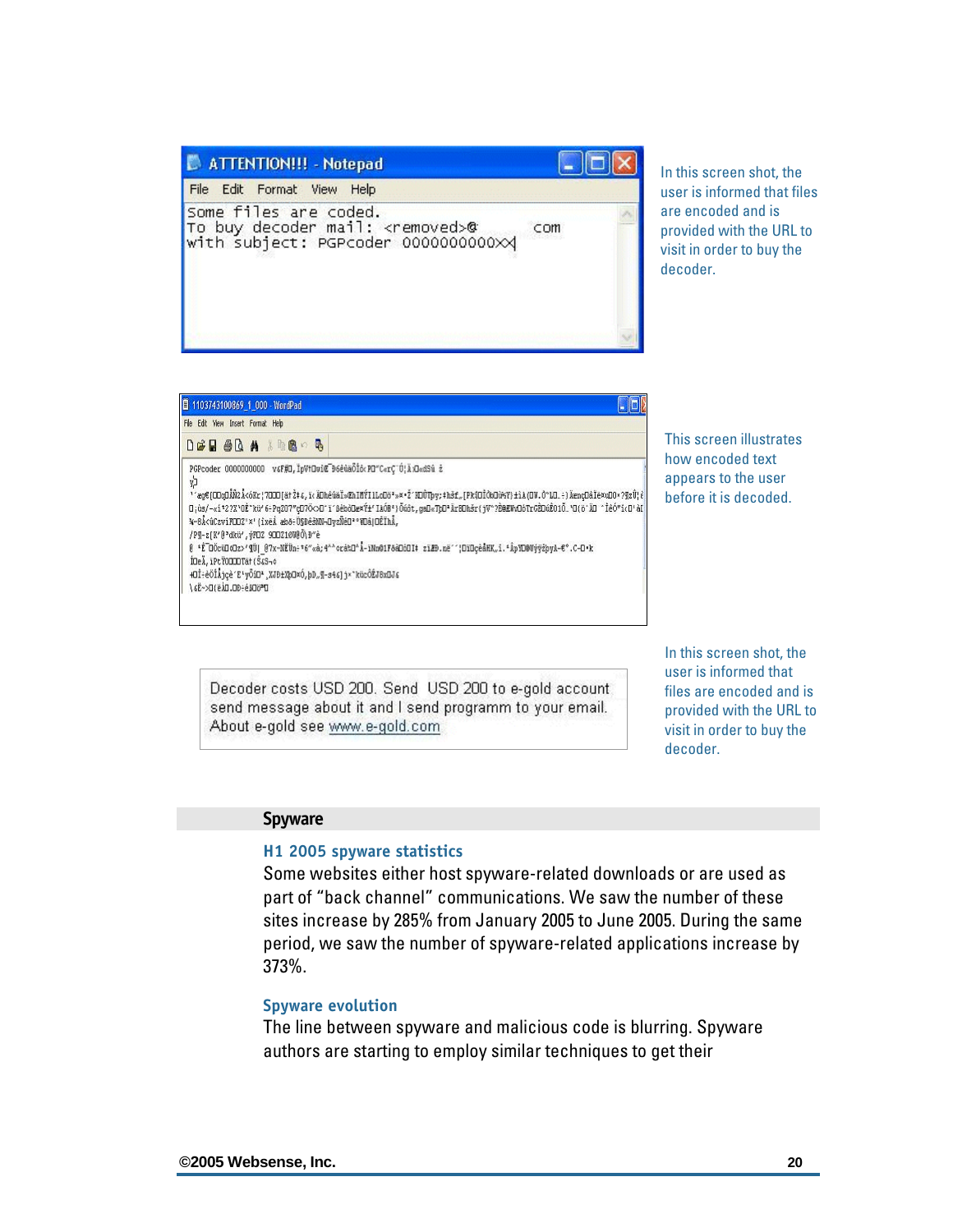<span id="page-21-0"></span>

| ATTENTION !!! - Notepad                                                                                     |     |  |
|-------------------------------------------------------------------------------------------------------------|-----|--|
| File Edit Format View Help                                                                                  |     |  |
| Some files are coded.<br>To buy decoder mail: <removed>@<br/>with subject: PGPcoder 000000000000X</removed> | COM |  |
|                                                                                                             |     |  |

In this screen shot, the user is informed that files are encoded and is provided with the URL to visit in order to buy the decoder.

| 1103743100869_1_000 - WordPad<br>File Edit View Insert Format Help                                                                                                                                                                                                                 |                                                                                                                                                                                                                                                                                                                                                                     |
|------------------------------------------------------------------------------------------------------------------------------------------------------------------------------------------------------------------------------------------------------------------------------------|---------------------------------------------------------------------------------------------------------------------------------------------------------------------------------------------------------------------------------------------------------------------------------------------------------------------------------------------------------------------|
|                                                                                                                                                                                                                                                                                    |                                                                                                                                                                                                                                                                                                                                                                     |
| $D \times H \otimes R$ a second                                                                                                                                                                                                                                                    |                                                                                                                                                                                                                                                                                                                                                                     |
| PGPcoder 0000000000 vsF#D, IpVtDoiC D6etaOlo PD"CerC"0, A DecSt ż<br>y)<br>%~BÅ<ûCzvíFODZ'*' (ixei æbő:Ü\$DêšNN-DvzÑéD''*Dâ OĖÏhÅ,<br>/P9-z[K'@'dkü', vFDZ 900Z10VBO\D"è<br>IDeA, IPtY0000Tat (S4S-4<br>+Dİ÷èÖİÁjçè^E'yŐiD',XJD±XbOxÓ,bD"¶-s46]jx"kücÖŹJBxDJ6<br>DSGD4-40.0(#)D<3> | <sup>1</sup> 'æg€[CDqOÅÑ2Å<óKr¦7DOD[ätއδ,ï(ÄDhêûäÏ»ŒhIMÝIlLoDö*»¤·Ž'NDŮTpy;‡hšf"[Pk{OÏÒkOù¥Y}±ìA(OV.Ô°LO…÷)ÄænçDâÏē¤uDO*?¶zŮ{{ <br>Π; ús/-«i*2?X*OÈ*kü*6: Ρg207"gD7Ö<>D'ï'8ébòDæxݱ'IAÓB*}Ŏúôt, gaD«ΤpD*ÄrEDhšr(jV*?È@EWoDóTroÈDúÊ01Ő_"Ο(b'ÄD *ÎêÓ*icD'àE<br>0 *Ê döcüD«dz>'¶Ü  07x-NĚÜn÷*6"«à,4^^erá%D^Å-ïNn01FδàDòOI# ziZD.né'''¦DïDçeåHK"i.*ÂpYD@UýÿżbvA-€°.C-D·k |

This screen illustrates how encoded text appears to the user before it is decoded.

Decoder costs USD 200. Send USD 200 to e-gold account send message about it and I send programm to your email. About e-gold see www.e-gold.com

In this screen shot, the user is informed that files are encoded and is provided with the URL to visit in order to buy the decoder.

#### **Spyware**

#### **H1 2005 spyware statistics**

Some websites either host spyware-related downloads or are used as part of "back channel" communications. We saw the number of these sites increase by 285% from January 2005 to June 2005. During the same period, we saw the number of spyware-related applications increase by 373%.

#### **Spyware evolution**

The line between spyware and malicious code is blurring. Spyware authors are starting to employ similar techniques to get their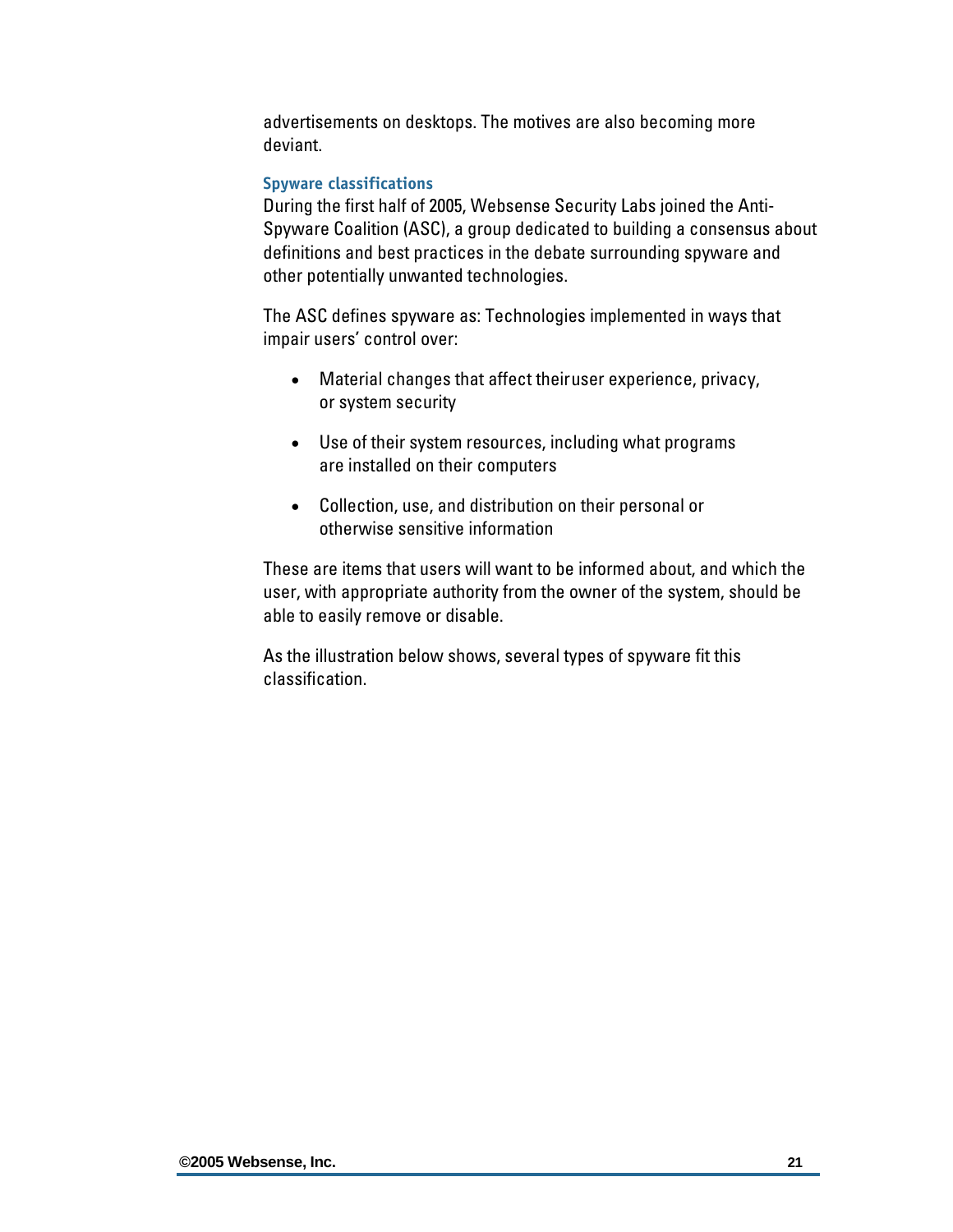<span id="page-22-0"></span>advertisements on desktops. The motives are also becoming more deviant.

#### **Spyware classifications**

During the first half of 2005, Websense Security Labs joined the Anti-Spyware Coalition (ASC), a group dedicated to building a consensus about definitions and best practices in the debate surrounding spyware and other potentially unwanted technologies.

The ASC defines spyware as: Technologies implemented in ways that impair users' control over:

- Material changes that affect their user experience, privacy, or system security
- Use of their system resources, including what programs are installed on their computers
- Collection, use, and distribution on their personal or otherwise sensitive information

These are items that users will want to be informed about, and which the user, with appropriate authority from the owner of the system, should be able to easily remove or disable.

As the illustration below shows, several types of spyware fit this classification.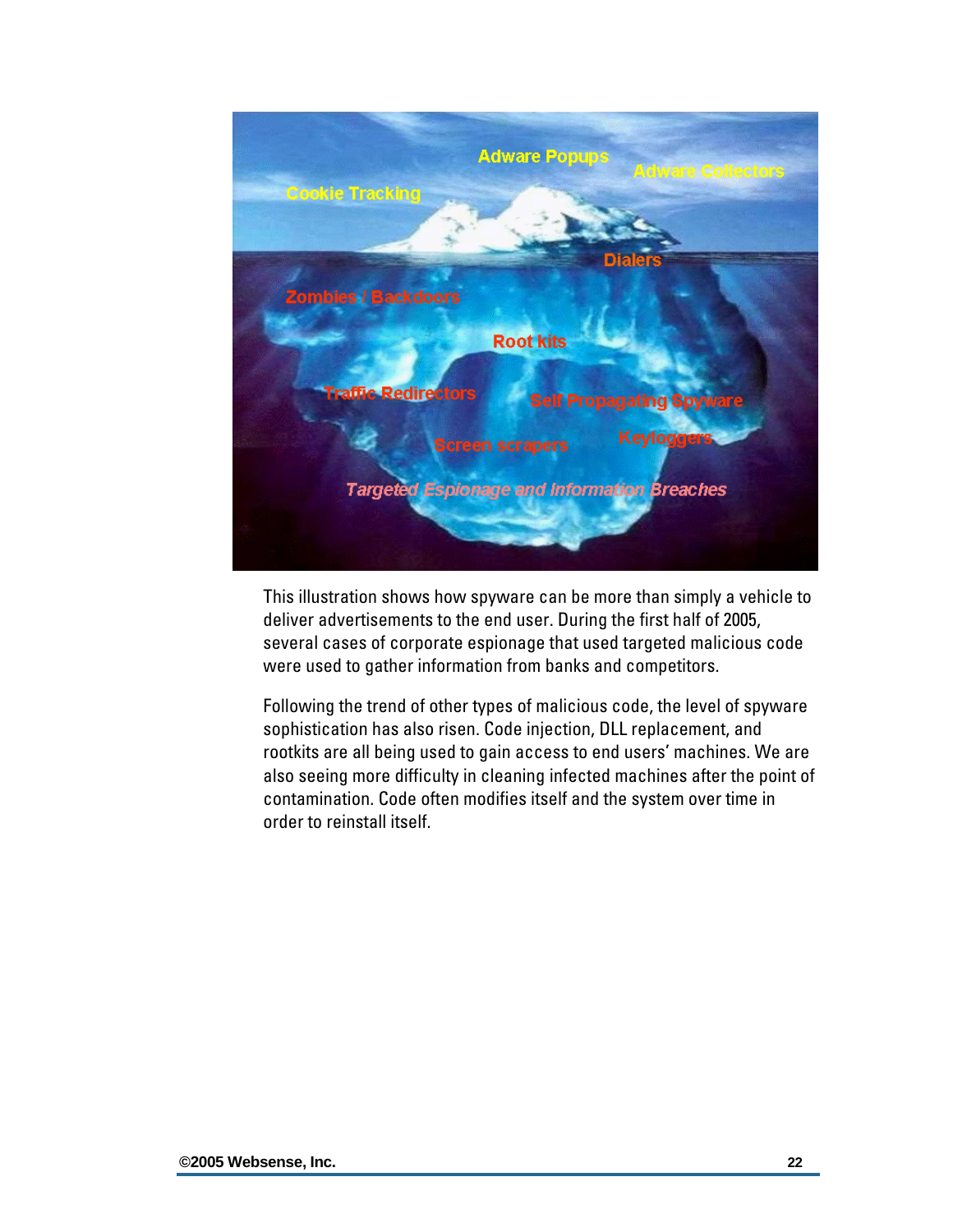

This illustration shows how spyware can be more than simply a vehicle to deliver advertisements to the end user. During the first half of 2005, several cases of corporate espionage that used targeted malicious code were used to gather information from banks and competitors.

Following the trend of other types of malicious code, the level of spyware sophistication has also risen. Code injection, DLL replacement, and rootkits are all being used to gain access to end users' machines. We are also seeing more difficulty in cleaning infected machines after the point of contamination. Code often modifies itself and the system over time in order to reinstall itself.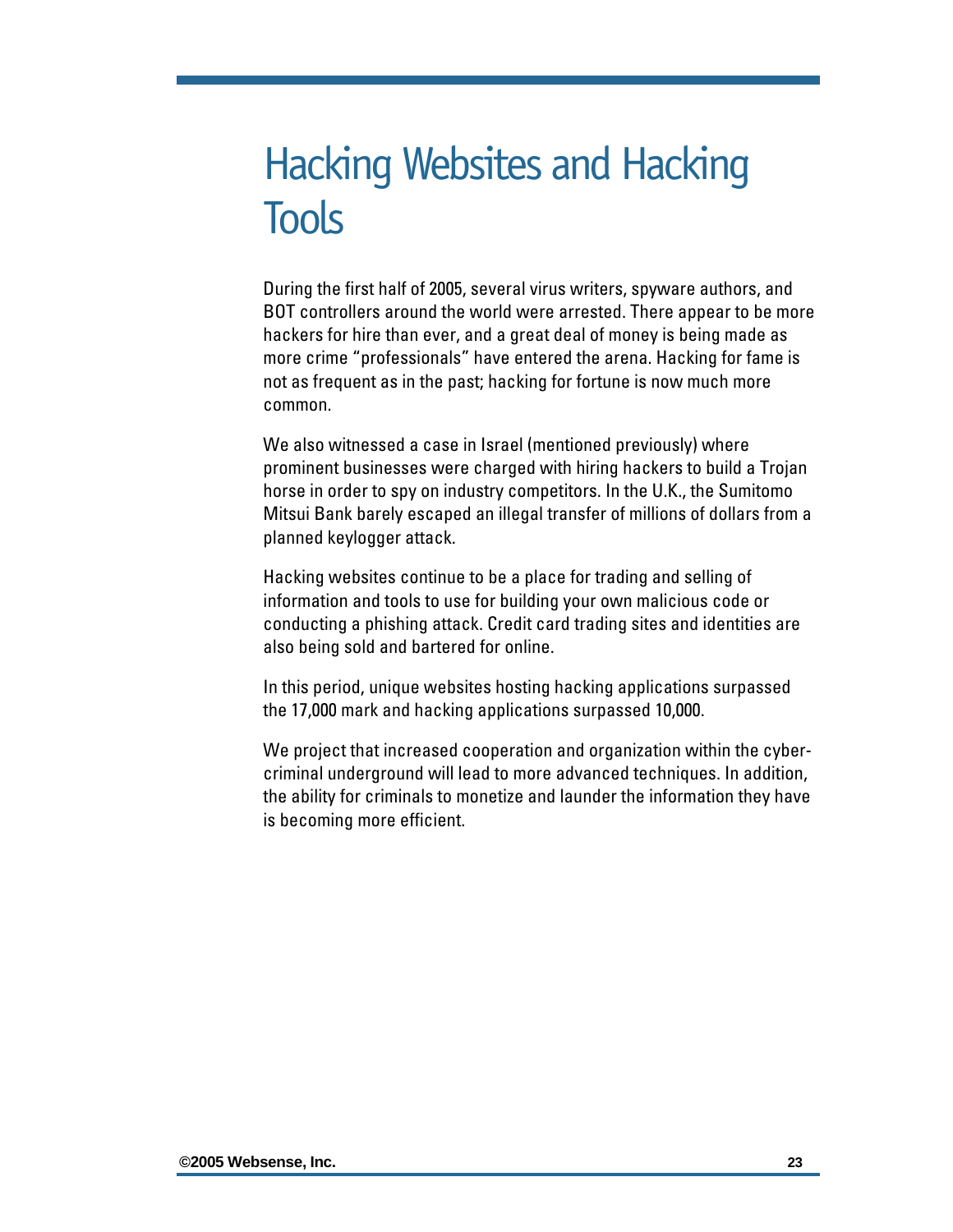## <span id="page-24-0"></span>Hacking Websites and Hacking **Tools**

During the first half of 2005, several virus writers, spyware authors, and BOT controllers around the world were arrested. There appear to be more hackers for hire than ever, and a great deal of money is being made as more crime "professionals" have entered the arena. Hacking for fame is not as frequent as in the past; hacking for fortune is now much more common.

We also witnessed a case in Israel (mentioned previously) where prominent businesses were charged with hiring hackers to build a Trojan horse in order to spy on industry competitors. In the U.K., the Sumitomo Mitsui Bank barely escaped an illegal transfer of millions of dollars from a planned keylogger attack.

Hacking websites continue to be a place for trading and selling of information and tools to use for building your own malicious code or conducting a phishing attack. Credit card trading sites and identities are also being sold and bartered for online.

In this period, unique websites hosting hacking applications surpassed the 17,000 mark and hacking applications surpassed 10,000.

We project that increased cooperation and organization within the cybercriminal underground will lead to more advanced techniques. In addition, the ability for criminals to monetize and launder the information they have is becoming more efficient.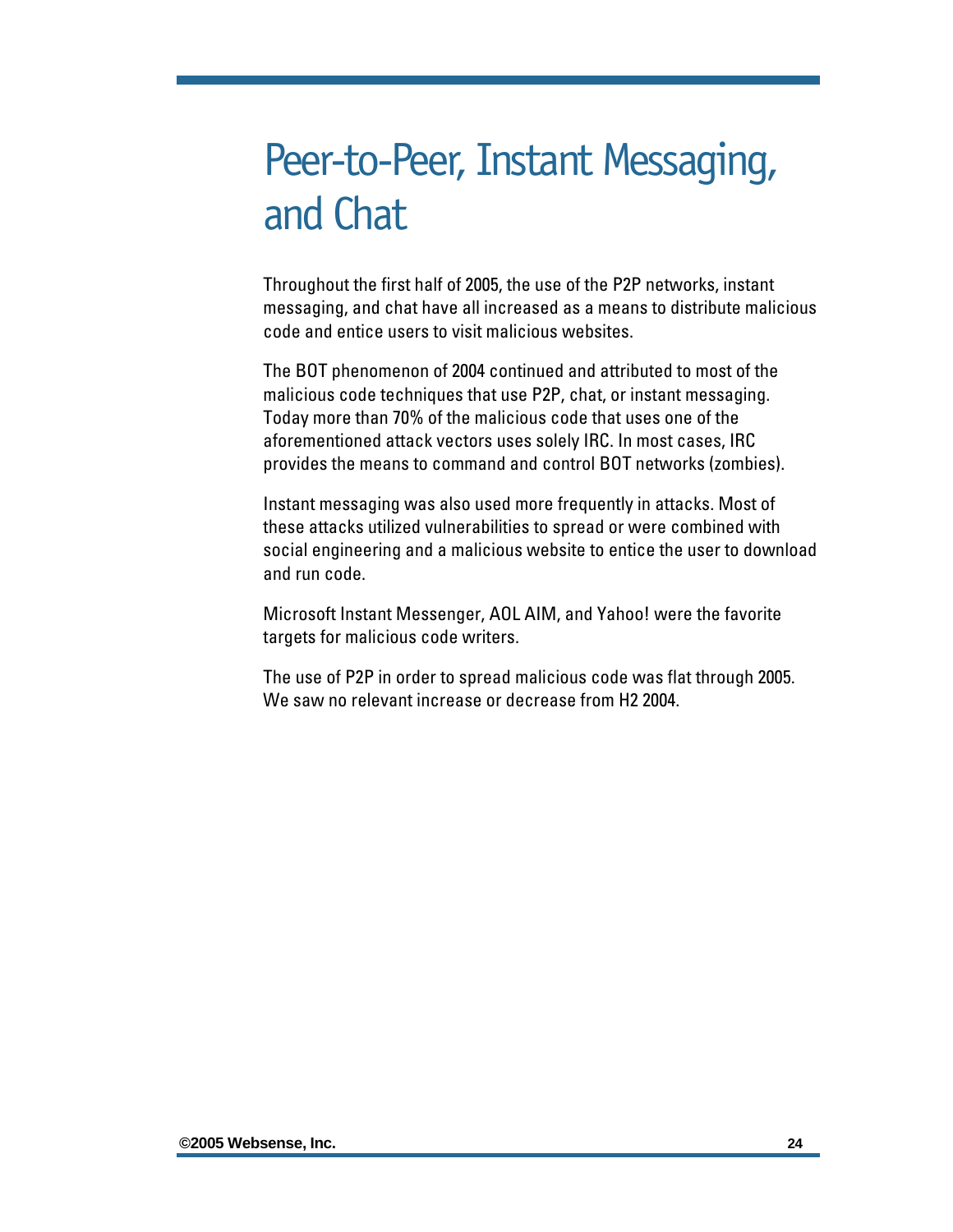## <span id="page-25-0"></span>Peer-to-Peer, Instant Messaging, and Chat

Throughout the first half of 2005, the use of the P2P networks, instant messaging, and chat have all increased as a means to distribute malicious code and entice users to visit malicious websites.

The BOT phenomenon of 2004 continued and attributed to most of the malicious code techniques that use P2P, chat, or instant messaging. Today more than 70% of the malicious code that uses one of the aforementioned attack vectors uses solely IRC. In most cases, IRC provides the means to command and control BOT networks (zombies).

Instant messaging was also used more frequently in attacks. Most of these attacks utilized vulnerabilities to spread or were combined with social engineering and a malicious website to entice the user to download and run code.

Microsoft Instant Messenger, AOL AIM, and Yahoo! were the favorite targets for malicious code writers.

The use of P2P in order to spread malicious code was flat through 2005. We saw no relevant increase or decrease from H2 2004.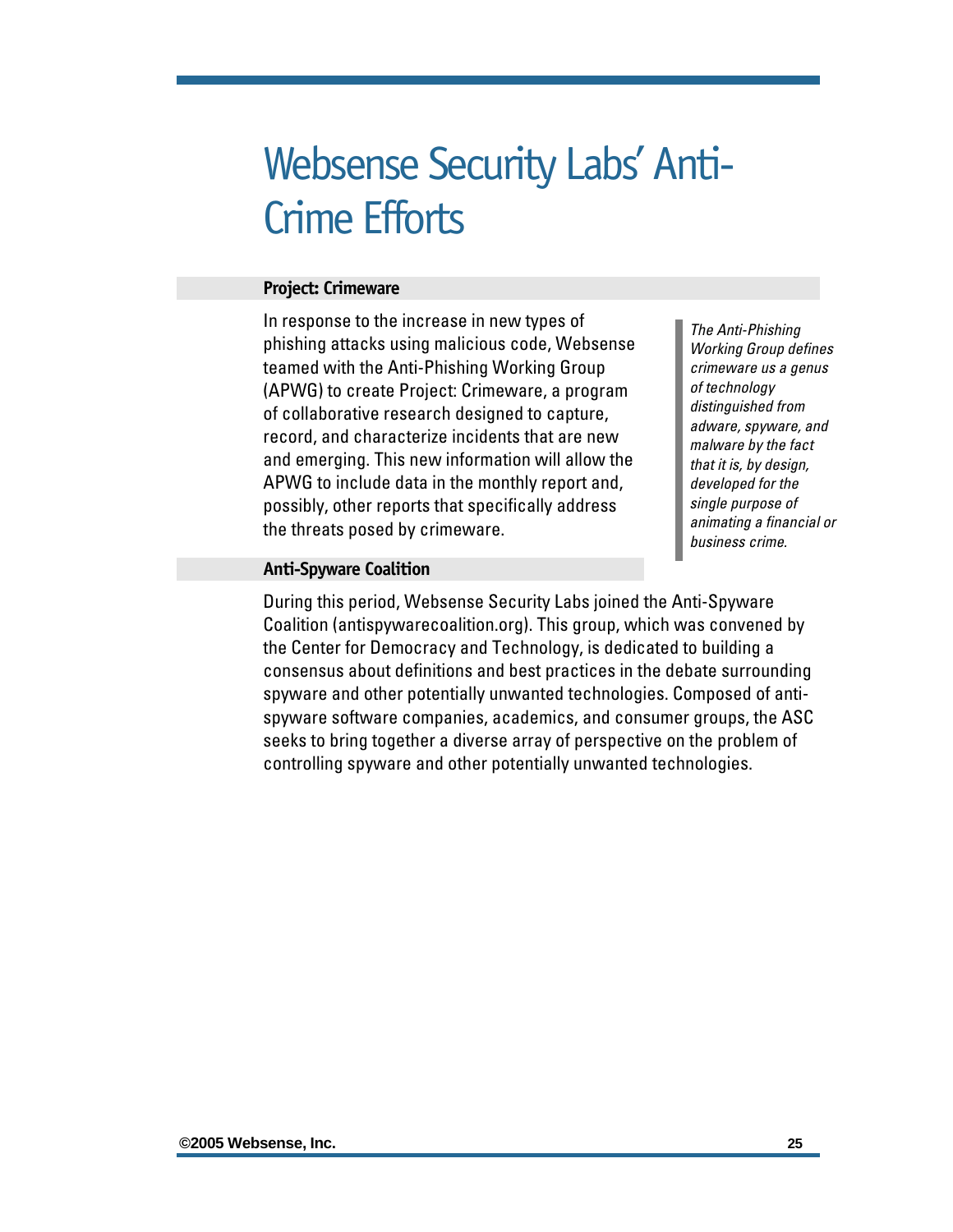## <span id="page-26-0"></span>Websense Security Labs' Anti-Crime Efforts

#### **Project: Crimeware**

In response to the increase in new types of phishing attacks using malicious code, Websense teamed with the Anti-Phishing Working Group (APWG) to create Project: Crimeware, a program of collaborative research designed to capture, record, and characterize incidents that are new and emerging. This new information will allow the APWG to include data in the monthly report and, possibly, other reports that specifically address the threats posed by crimeware.

*The Anti-Phishing Working Group defines crimeware us a genus of technology distinguished from adware, spyware, and malware by the fact that it is, by design, developed for the single purpose of animating a financial or business crime.*

#### **Anti-Spyware Coalition**

During this period, Websense Security Labs joined the Anti-Spyware Coalition (antispywarecoalition.org). This group, which was convened by the Center for Democracy and Technology, is dedicated to building a consensus about definitions and best practices in the debate surrounding spyware and other potentially unwanted technologies. Composed of antispyware software companies, academics, and consumer groups, the ASC seeks to bring together a diverse array of perspective on the problem of controlling spyware and other potentially unwanted technologies.